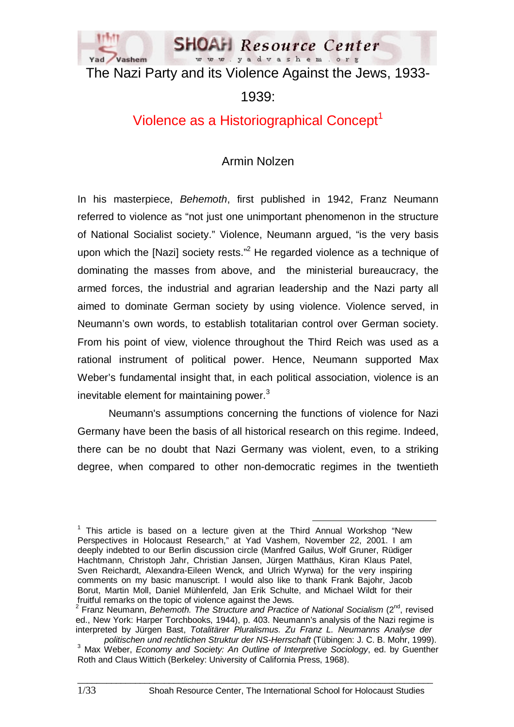

The Nazi Party and its Violence Against the Jews, 1933-

1939:

# Violence as a Historiographical Concept<sup>1</sup>

# Armin Nolzen

In his masterpiece, *Behemoth*, first published in 1942, Franz Neumann referred to violence as "not just one unimportant phenomenon in the structure of National Socialist society." Violence, Neumann argued, "is the very basis upon which the [Nazi] society rests."<sup>2</sup> He regarded violence as a technique of dominating the masses from above, and the ministerial bureaucracy, the armed forces, the industrial and agrarian leadership and the Nazi party all aimed to dominate German society by using violence. Violence served, in Neumann's own words, to establish totalitarian control over German society. From his point of view, violence throughout the Third Reich was used as a rational instrument of political power. Hence, Neumann supported Max Weber's fundamental insight that, in each political association, violence is an inevitable element for maintaining power.<sup>3</sup>

Neumann's assumptions concerning the functions of violence for Nazi Germany have been the basis of all historical research on this regime. Indeed, there can be no doubt that Nazi Germany was violent, even, to a striking degree, when compared to other non-democratic regimes in the twentieth

<sup>1</sup> This article is based on a lecture given at the Third Annual Workshop "New Perspectives in Holocaust Research," at Yad Vashem, November 22, 2001. I am deeply indebted to our Berlin discussion circle (Manfred Gailus, Wolf Gruner, Rüdiger Hachtmann, Christoph Jahr, Christian Jansen, Jürgen Matthäus, Kiran Klaus Patel, Sven Reichardt, Alexandra-Eileen Wenck, and Ulrich Wyrwa) for the very inspiring comments on my basic manuscript. I would also like to thank Frank Bajohr, Jacob Borut, Martin Moll, Daniel Mühlenfeld, Jan Erik Schulte, and Michael Wildt for their fruitful remarks on the topic of violence against the Jews.

<sup>&</sup>lt;sup>2</sup> Franz Neumann, *Behemoth. The Structure and Practice of National Socialism* (2<sup>nd</sup>, revised ed., New York: Harper Torchbooks, 1944), p. 403. Neumann's analysis of the Nazi regime is interpreted by Jürgen Bast, *Totalitärer Pluralismus. Zu Franz L. Neumanns Analyse der* 

*politischen und rechtlichen Struktur der NS-Herrschaft* (Tübingen: J. C. B. Mohr, 1999). <sup>3</sup> <sup>3</sup> Max Weber, *Economy and Society: An Outline of Interpretive Sociology*, ed. by Guenther Roth and Claus Wittich (Berkeley: University of California Press, 1968).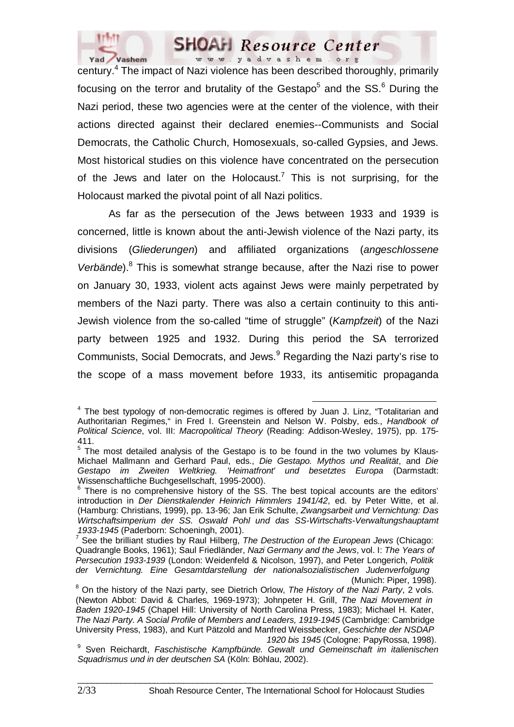

century.<sup>4</sup> The impact of Nazi violence has been described thoroughly, primarily focusing on the terror and brutality of the Gestapo<sup>5</sup> and the SS.<sup>6</sup> During the Nazi period, these two agencies were at the center of the violence, with their actions directed against their declared enemies--Communists and Social Democrats, the Catholic Church, Homosexuals, so-called Gypsies, and Jews. Most historical studies on this violence have concentrated on the persecution of the Jews and later on the Holocaust.<sup>7</sup> This is not surprising, for the Holocaust marked the pivotal point of all Nazi politics.

As far as the persecution of the Jews between 1933 and 1939 is concerned, little is known about the anti-Jewish violence of the Nazi party, its divisions (*Gliederungen*) and affiliated organizations (*angeschlossene*  Verbände).<sup>8</sup> This is somewhat strange because, after the Nazi rise to power on January 30, 1933, violent acts against Jews were mainly perpetrated by members of the Nazi party. There was also a certain continuity to this anti-Jewish violence from the so-called "time of struggle" (*Kampfzeit*) of the Nazi party between 1925 and 1932. During this period the SA terrorized Communists, Social Democrats, and Jews.<sup>9</sup> Regarding the Nazi party's rise to the scope of a mass movement before 1933, its antisemitic propaganda

<sup>4</sup> The best typology of non-democratic regimes is offered by Juan J. Linz, "Totalitarian and Authoritarian Regimes," in Fred I. Greenstein and Nelson W. Polsby, eds., *Handbook of Political Science*, vol. III: *Macropolitical Theory* (Reading: Addison-Wesley, 1975), pp. 175- 411.

 $5$  The most detailed analysis of the Gestapo is to be found in the two volumes by Klaus-Michael Mallmann and Gerhard Paul, eds., *Die Gestapo. Mythos und Realität*, and *Die Gestapo im Zweiten Weltkrieg. 'Heimatfront' und besetztes Europa* (Darmstadt:

Wissenschaftliche Buchgesellschaft, 1995-2000).<br><sup>6</sup> There is no comprehensive history of the SS. The best topical accounts are the editors' introduction in *Der Dienstkalender Heinrich Himmlers 1941/42*, ed. by Peter Witte, et al. (Hamburg: Christians, 1999), pp. 13-96; Jan Erik Schulte, *Zwangsarbeit und Vernichtung: Das Wirtschaftsimperium der SS. Oswald Pohl und das SS-Wirtschafts-Verwaltungshauptamt 1933-1945* (Paderborn: Schoeningh, 2001). 7

<sup>&</sup>lt;sup>7</sup> See the brilliant studies by Raul Hilberg, *The Destruction of the European Jews* (Chicago: Quadrangle Books, 1961); Saul Friedländer, *Nazi Germany and the Jews*, vol. I: *The Years of Persecution 1933-1939* (London: Weidenfeld & Nicolson, 1997), and Peter Longerich, *Politik der Vernichtung. Eine Gesamtdarstellung der nationalsozialistischen Judenverfolgung*

<sup>(</sup>Munich: Piper, 1998). <sup>8</sup> On the history of the Nazi party, see Dietrich Orlow, *The History of the Nazi Party*, 2 vols. (Newton Abbot: David & Charles, 1969-1973); Johnpeter H. Grill, *The Nazi Movement in Baden 1920-1945* (Chapel Hill: University of North Carolina Press, 1983); Michael H. Kater, *The Nazi Party. A Social Profile of Members and Leaders, 1919-1945* (Cambridge: Cambridge University Press, 1983), and Kurt Pätzold and Manfred Weissbecker, *Geschichte der NSDAP* 

*<sup>1920</sup> bis 1945* (Cologne: PapyRossa, 1998). <sup>9</sup> Sven Reichardt, *Faschistische Kampfbünde. Gewalt und Gemeinschaft im italienischen Squadrismus und in der deutschen SA* (Köln: Böhlau, 2002).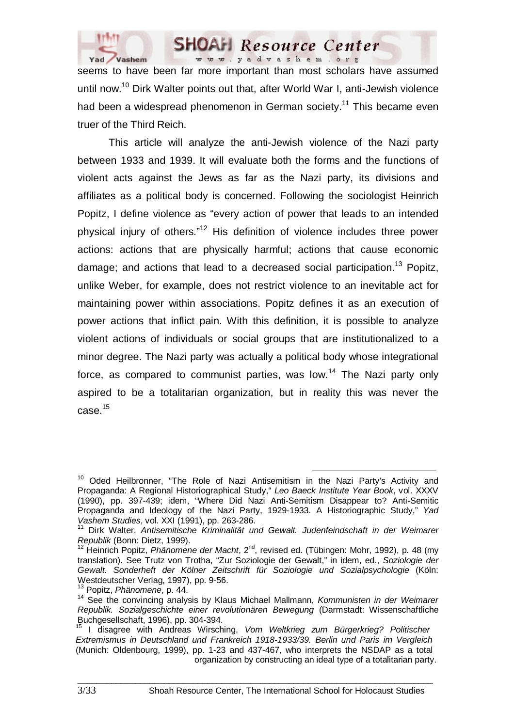

seems to have been far more important than most scholars have assumed until now.<sup>10</sup> Dirk Walter points out that, after World War I, anti-Jewish violence had been a widespread phenomenon in German society.<sup>11</sup> This became even truer of the Third Reich.

This article will analyze the anti-Jewish violence of the Nazi party between 1933 and 1939. It will evaluate both the forms and the functions of violent acts against the Jews as far as the Nazi party, its divisions and affiliates as a political body is concerned. Following the sociologist Heinrich Popitz, I define violence as "every action of power that leads to an intended physical injury of others."12 His definition of violence includes three power actions: actions that are physically harmful; actions that cause economic damage; and actions that lead to a decreased social participation.<sup>13</sup> Popitz, unlike Weber, for example, does not restrict violence to an inevitable act for maintaining power within associations. Popitz defines it as an execution of power actions that inflict pain. With this definition, it is possible to analyze violent actions of individuals or social groups that are institutionalized to a minor degree. The Nazi party was actually a political body whose integrational force, as compared to communist parties, was low.<sup>14</sup> The Nazi party only aspired to be a totalitarian organization, but in reality this was never the  $case.<sup>15</sup>$ 

<sup>&</sup>lt;sup>10</sup> Oded Heilbronner, "The Role of Nazi Antisemitism in the Nazi Party's Activity and Propaganda: A Regional Historiographical Study," *Leo Baeck Institute Year Book*, vol. XXXV (1990), pp. 397-439; idem, "Where Did Nazi Anti-Semitism Disappear to? Anti-Semitic Propaganda and Ideology of the Nazi Party, 1929-1933. A Historiographic Study," *Yad Vashem Studies*, vol. XXI (1991), pp. 263-286. 11 Dirk Walter, *Antisemitische Kriminalität und Gewalt. Judenfeindschaft in der Weimarer* 

*Republik* (Bonn: Dietz, 1999).<br><sup>12</sup> Heinrich Popitz, *Phänomene der Macht*, 2<sup>nd</sup>, revised ed. (Tübingen: Mohr, 1992), p. 48 (my

translation). See Trutz von Trotha, "Zur Soziologie der Gewalt," in idem, ed., *Soziologie der Gewalt. Sonderheft der Kölner Zeitschrift für Soziologie und Sozialpsychologie* (Köln: Westdeutscher Verlag, 1997), pp. 9-56.<br><sup>13</sup> Popitz, Phänomene, p. 44.

<sup>&</sup>lt;sup>14</sup> See the convincing analysis by Klaus Michael Mallmann, *Kommunisten in der Weimarer Republik. Sozialgeschichte einer revolutionären Bewegung* (Darmstadt: Wissenschaftliche Buchgesellschaft, 1996), pp. 304-394.

<sup>15</sup> I disagree with Andreas Wirsching, *Vom Weltkrieg zum Bürgerkrieg? Politischer Extremismus in Deutschland und Frankreich 1918-1933/39. Berlin und Paris im Vergleich* (Munich: Oldenbourg, 1999), pp. 1-23 and 437-467, who interprets the NSDAP as a total organization by constructing an ideal type of a totalitarian party.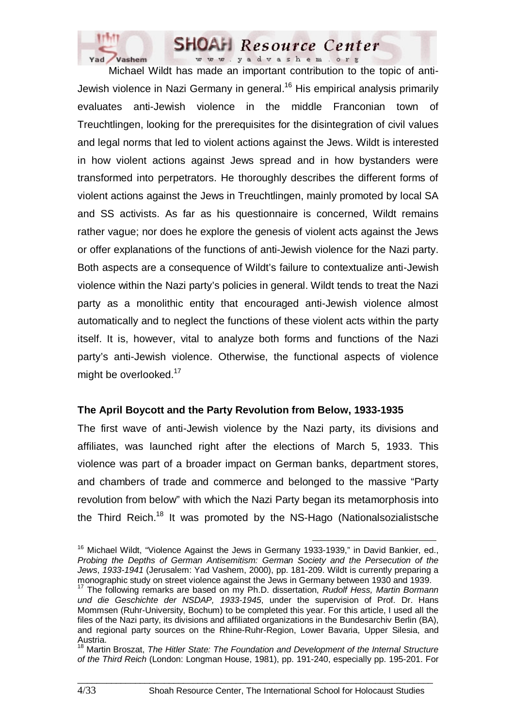

Michael Wildt has made an important contribution to the topic of anti-Jewish violence in Nazi Germany in general.<sup>16</sup> His empirical analysis primarily evaluates anti-Jewish violence in the middle Franconian town of Treuchtlingen, looking for the prerequisites for the disintegration of civil values and legal norms that led to violent actions against the Jews. Wildt is interested in how violent actions against Jews spread and in how bystanders were transformed into perpetrators. He thoroughly describes the different forms of violent actions against the Jews in Treuchtlingen, mainly promoted by local SA and SS activists. As far as his questionnaire is concerned, Wildt remains rather vague; nor does he explore the genesis of violent acts against the Jews or offer explanations of the functions of anti-Jewish violence for the Nazi party. Both aspects are a consequence of Wildt's failure to contextualize anti-Jewish violence within the Nazi party's policies in general. Wildt tends to treat the Nazi party as a monolithic entity that encouraged anti-Jewish violence almost automatically and to neglect the functions of these violent acts within the party itself. It is, however, vital to analyze both forms and functions of the Nazi party's anti-Jewish violence. Otherwise, the functional aspects of violence might be overlooked.<sup>17</sup>

#### **The April Boycott and the Party Revolution from Below, 1933-1935**

The first wave of anti-Jewish violence by the Nazi party, its divisions and affiliates, was launched right after the elections of March 5, 1933. This violence was part of a broader impact on German banks, department stores, and chambers of trade and commerce and belonged to the massive "Party revolution from below" with which the Nazi Party began its metamorphosis into the Third Reich.<sup>18</sup> It was promoted by the NS-Hago (Nationalsozialistsche

<sup>&</sup>lt;sup>16</sup> Michael Wildt, "Violence Against the Jews in Germany 1933-1939," in David Bankier, ed., *Probing the Depths of German Antisemitism: German Society and the Persecution of the Jews*, *1933-1941* (Jerusalem: Yad Vashem, 2000), pp. 181-209. Wildt is currently preparing a monographic study on street violence against the Jews in Germany between 1930 and 1939.

<sup>17</sup> The following remarks are based on my Ph.D. dissertation, *Rudolf Hess, Martin Bormann und die Geschichte der NSDAP, 1933-1945*, under the supervision of Prof. Dr. Hans Mommsen (Ruhr-University, Bochum) to be completed this year. For this article, I used all the files of the Nazi party, its divisions and affiliated organizations in the Bundesarchiv Berlin (BA), and regional party sources on the Rhine-Ruhr-Region, Lower Bavaria, Upper Silesia, and Austria.

<sup>18</sup> Martin Broszat, *The Hitler State: The Foundation and Development of the Internal Structure of the Third Reich* (London: Longman House, 1981), pp. 191-240, especially pp. 195-201. For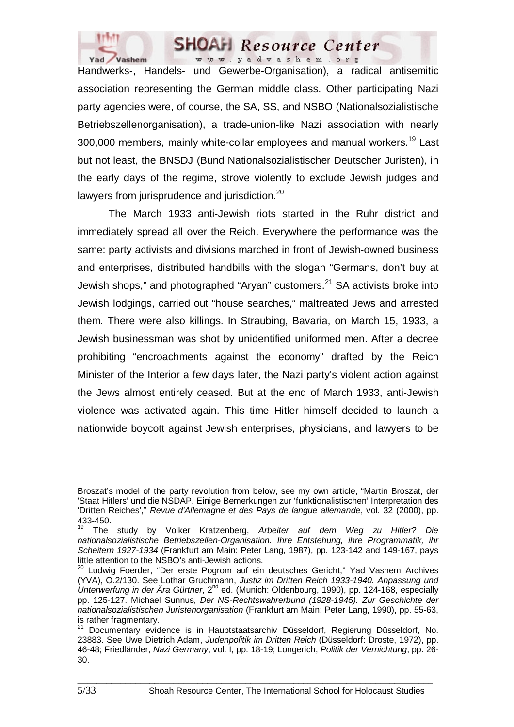

Handwerks-, Handels- und Gewerbe-Organisation), a radical antisemitic association representing the German middle class. Other participating Nazi party agencies were, of course, the SA, SS, and NSBO (Nationalsozialistische Betriebszellenorganisation), a trade-union-like Nazi association with nearly 300,000 members, mainly white-collar employees and manual workers.<sup>19</sup> Last but not least, the BNSDJ (Bund Nationalsozialistischer Deutscher Juristen), in the early days of the regime, strove violently to exclude Jewish judges and lawyers from jurisprudence and jurisdiction.<sup>20</sup>

The March 1933 anti-Jewish riots started in the Ruhr district and immediately spread all over the Reich. Everywhere the performance was the same: party activists and divisions marched in front of Jewish-owned business and enterprises, distributed handbills with the slogan "Germans, don't buy at Jewish shops," and photographed "Aryan" customers.<sup>21</sup> SA activists broke into Jewish lodgings, carried out "house searches," maltreated Jews and arrested them. There were also killings. In Straubing, Bavaria, on March 15, 1933, a Jewish businessman was shot by unidentified uniformed men. After a decree prohibiting "encroachments against the economy" drafted by the Reich Minister of the Interior a few days later, the Nazi party's violent action against the Jews almost entirely ceased. But at the end of March 1933, anti-Jewish violence was activated again. This time Hitler himself decided to launch a nationwide boycott against Jewish enterprises, physicians, and lawyers to be

 $\Box$ 

 $\overline{a}$ 

Broszat's model of the party revolution from below, see my own article, "Martin Broszat, der 'Staat Hitlers' und die NSDAP. Einige Bemerkungen zur 'funktionalistischen' Interpretation des 'Dritten Reiches'," *Revue d'Allemagne et des Pays de langue allemande*, vol. 32 (2000), pp. 433-450.

<sup>19</sup> The study by Volker Kratzenberg, *Arbeiter auf dem Weg zu Hitler? Die nationalsozialistische Betriebszellen-Organisation. Ihre Entstehung, ihre Programmatik, ihr Scheitern 1927-1934* (Frankfurt am Main: Peter Lang, 1987), pp. 123-142 and 149-167, pays little attention to the NSBO's anti-Jewish actions.

<sup>20</sup> Ludwig Foerder, "Der erste Pogrom auf ein deutsches Gericht," Yad Vashem Archives (YVA), O.2/130. See Lothar Gruchmann, *Justiz im Dritten Reich 1933-1940. Anpassung und*  Unterwerfung in der Ära Gürtner, 2<sup>nd</sup> ed. (Munich: Oldenbourg, 1990), pp. 124-168, especially pp. 125-127. Michael Sunnus, *Der NS-Rechtswahrerbund (1928-1945). Zur Geschichte der nationalsozialistischen Juristenorganisation* (Frankfurt am Main: Peter Lang, 1990), pp. 55-63, is rather fragmentary.

<sup>21</sup> Documentary evidence is in Hauptstaatsarchiv Düsseldorf, Regierung Düsseldorf, No. 23883. See Uwe Dietrich Adam, *Judenpolitik im Dritten Reich* (Düsseldorf: Droste, 1972), pp. 46-48; Friedländer, *Nazi Germany*, vol. I, pp. 18-19; Longerich, *Politik der Vernichtung*, pp. 26- 30.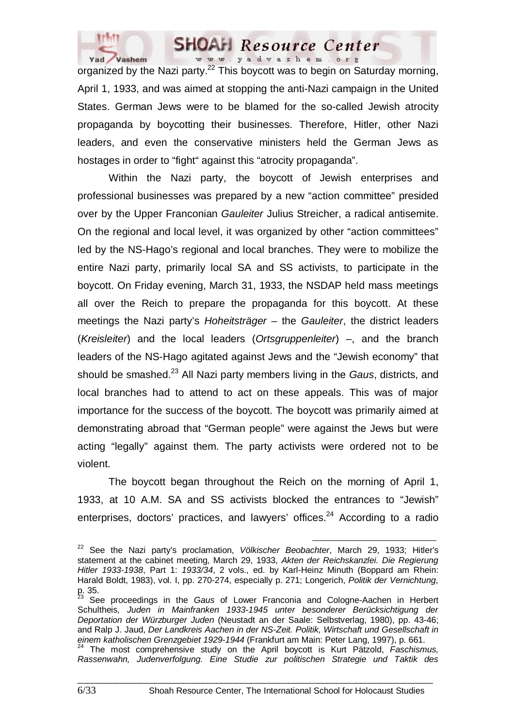

organized by the Nazi party.<sup>22</sup> This boycott was to begin on Saturday morning, April 1, 1933, and was aimed at stopping the anti-Nazi campaign in the United States. German Jews were to be blamed for the so-called Jewish atrocity propaganda by boycotting their businesses. Therefore, Hitler, other Nazi leaders, and even the conservative ministers held the German Jews as hostages in order to "fight" against this "atrocity propaganda".

Within the Nazi party, the boycott of Jewish enterprises and professional businesses was prepared by a new "action committee" presided over by the Upper Franconian *Gauleiter* Julius Streicher, a radical antisemite. On the regional and local level, it was organized by other "action committees" led by the NS-Hago's regional and local branches. They were to mobilize the entire Nazi party, primarily local SA and SS activists, to participate in the boycott. On Friday evening, March 31, 1933, the NSDAP held mass meetings all over the Reich to prepare the propaganda for this boycott. At these meetings the Nazi party's *Hoheitsträger* – the *Gauleiter*, the district leaders (*Kreisleiter*) and the local leaders (*Ortsgruppenleiter*) –, and the branch leaders of the NS-Hago agitated against Jews and the "Jewish economy" that should be smashed.23 All Nazi party members living in the *Gaus*, districts, and local branches had to attend to act on these appeals. This was of major importance for the success of the boycott. The boycott was primarily aimed at demonstrating abroad that "German people" were against the Jews but were acting "legally" against them. The party activists were ordered not to be violent.

The boycott began throughout the Reich on the morning of April 1, 1933, at 10 A.M. SA and SS activists blocked the entrances to "Jewish" enterprises, doctors' practices, and lawyers' offices.<sup>24</sup> According to a radio

22 See the Nazi party's proclamation, *Völkischer Beobachter*, March 29, 1933; Hitler's statement at the cabinet meeting, March 29, 1933, *Akten der Reichskanzlei. Die Regierung Hitler 1933-1938*, Part 1: *1933/34*, 2 vols., ed. by Karl-Heinz Minuth (Boppard am Rhein: Harald Boldt, 1983), vol. I, pp. 270-274, especially p. 271; Longerich, *Politik der Vernichtung*, p. 35.

<sup>23</sup> See proceedings in the *Gaus* of Lower Franconia and Cologne-Aachen in Herbert Schultheis, *Juden in Mainfranken 1933-1945 unter besonderer Berücksichtigung der Deportation der Würzburger Juden* (Neustadt an der Saale: Selbstverlag, 1980), pp. 43-46; and Ralp J. Jaud, *Der Landkreis Aachen in der NS-Zeit. Politik, Wirtschaft und Gesellschaft in* 

*einem katholischen Grenzgebiet 1929-1944* (Frankfurt am Main: Peter Lang, 1997), p. 661. 24 The most comprehensive study on the April boycott is Kurt Pätzold, *Faschismus, Rassenwahn, Judenverfolgung. Eine Studie zur politischen Strategie und Taktik des*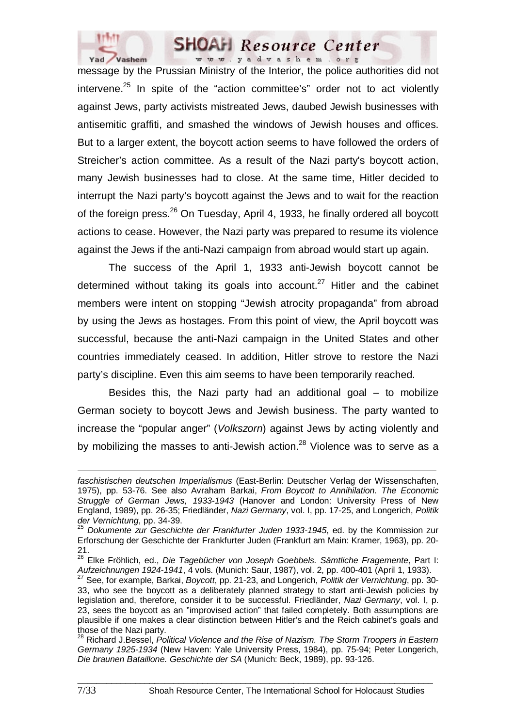

message by the Prussian Ministry of the Interior, the police authorities did not intervene.<sup>25</sup> In spite of the "action committee's" order not to act violently against Jews, party activists mistreated Jews, daubed Jewish businesses with antisemitic graffiti, and smashed the windows of Jewish houses and offices. But to a larger extent, the boycott action seems to have followed the orders of Streicher's action committee. As a result of the Nazi party's boycott action, many Jewish businesses had to close. At the same time, Hitler decided to interrupt the Nazi party's boycott against the Jews and to wait for the reaction of the foreign press.<sup>26</sup> On Tuesday, April 4, 1933, he finally ordered all boycott actions to cease. However, the Nazi party was prepared to resume its violence against the Jews if the anti-Nazi campaign from abroad would start up again.

The success of the April 1, 1933 anti-Jewish boycott cannot be determined without taking its goals into account.<sup>27</sup> Hitler and the cabinet members were intent on stopping "Jewish atrocity propaganda" from abroad by using the Jews as hostages. From this point of view, the April boycott was successful, because the anti-Nazi campaign in the United States and other countries immediately ceased. In addition, Hitler strove to restore the Nazi party's discipline. Even this aim seems to have been temporarily reached.

Besides this, the Nazi party had an additional goal  $-$  to mobilize German society to boycott Jews and Jewish business. The party wanted to increase the "popular anger" (*Volkszorn*) against Jews by acting violently and by mobilizing the masses to anti-Jewish action. $^{28}$  Violence was to serve as a

 $\overline{a}$ *faschistischen deutschen Imperialismus* (East-Berlin: Deutscher Verlag der Wissenschaften, 1975), pp. 53-76. See also Avraham Barkai, *From Boycott to Annihilation. The Economic Struggle of German Jews, 1933-1943* (Hanover and London: University Press of New England, 1989), pp. 26-35; Friedländer, *Nazi Germany*, vol. I, pp. 17-25, and Longerich, *Politik*  der Vernichtung, pp. 34-39.<br><sup>25</sup> Dokumente zur Geschichte der Frankfurter Juden 1933-1945, ed. by the Kommission zur

Erforschung der Geschichte der Frankfurter Juden (Frankfurt am Main: Kramer, 1963), pp. 20- 21.

<sup>26</sup> Elke Fröhlich, ed., *Die Tagebücher von Joseph Goebbels. Sämtliche Fragemente*, Part I: *Aufzeichnungen 1924-1941*, 4 vols. (Munich: Saur, 1987), vol. 2, pp. 400-401 (April 1, 1933). 27 See, for example, Barkai, *Boycott*, pp. 21-23, and Longerich, *Politik der Vernichtung*, pp. 30-

<sup>33,</sup> who see the boycott as a deliberately planned strategy to start anti-Jewish policies by legislation and, therefore, consider it to be successful. Friedländer, *Nazi Germany*, vol. I, p. 23, sees the boycott as an "improvised action" that failed completely. Both assumptions are plausible if one makes a clear distinction between Hitler's and the Reich cabinet's goals and those of the Nazi party.

<sup>28</sup> Richard J.Bessel, *Political Violence and the Rise of Nazism. The Storm Troopers in Eastern Germany 1925-1934* (New Haven: Yale University Press, 1984), pp. 75-94; Peter Longerich, *Die braunen Bataillone. Geschichte der SA* (Munich: Beck, 1989), pp. 93-126.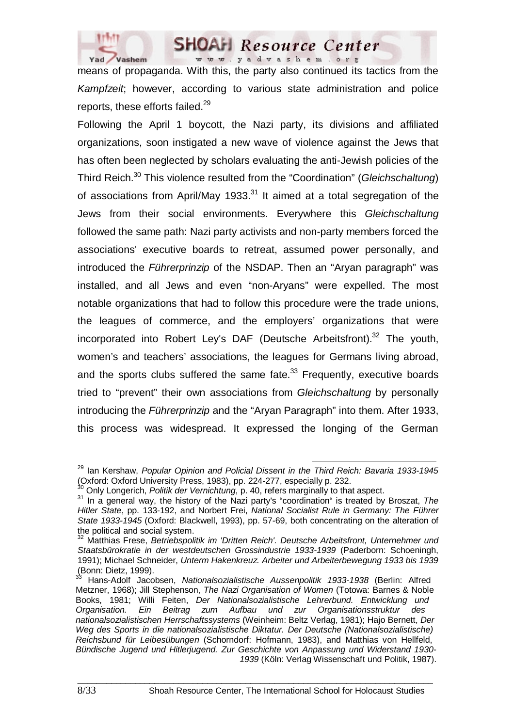

means of propaganda. With this, the party also continued its tactics from the *Kampfzeit*; however, according to various state administration and police reports, these efforts failed.<sup>29</sup>

Following the April 1 boycott, the Nazi party, its divisions and affiliated organizations, soon instigated a new wave of violence against the Jews that has often been neglected by scholars evaluating the anti-Jewish policies of the Third Reich.30 This violence resulted from the "Coordination" (*Gleichschaltung*) of associations from April/May 1933. $31$  It aimed at a total segregation of the Jews from their social environments. Everywhere this *Gleichschaltung* followed the same path: Nazi party activists and non-party members forced the associations' executive boards to retreat, assumed power personally, and introduced the *Führerprinzip* of the NSDAP. Then an "Aryan paragraph" was installed, and all Jews and even "non-Aryans" were expelled. The most notable organizations that had to follow this procedure were the trade unions, the leagues of commerce, and the employers' organizations that were incorporated into Robert Ley's DAF (Deutsche Arbeitsfront).<sup>32</sup> The youth, women's and teachers' associations, the leagues for Germans living abroad, and the sports clubs suffered the same fate. $33$  Frequently, executive boards tried to "prevent" their own associations from *Gleichschaltung* by personally introducing the *Führerprinzip* and the "Aryan Paragraph" into them. After 1933, this process was widespread. It expressed the longing of the German

29 Ian Kershaw, *Popular Opinion and Policial Dissent in the Third Reich: Bavaria 1933-1945* (Oxford: Oxford University Press, 1983), pp. 224-277, especially p. 232.

<sup>30</sup> Only Longerich, *Politik der Vernichtung*, p. 40, refers marginally to that aspect. 31 In a general way, the history of the Nazi party's "coordination" is treated by Broszat, *The Hitler State*, pp. 133-192, and Norbert Frei, *National Socialist Rule in Germany: The Führer State 1933-1945* (Oxford: Blackwell, 1993), pp. 57-69, both concentrating on the alteration of the political and social system.

<sup>32</sup> Matthias Frese, *Betriebspolitik im 'Dritten Reich'. Deutsche Arbeitsfront, Unternehmer und Staatsbürokratie in der westdeutschen Grossindustrie 1933-1939* (Paderborn: Schoeningh, 1991); Michael Schneider, *Unterm Hakenkreuz. Arbeiter und Arbeiterbewegung 1933 bis 1939*  $(Bonn: Dietto 1999).$ 

<sup>33</sup> Hans-Adolf Jacobsen, *Nationalsozialistische Aussenpolitik 1933-1938* (Berlin: Alfred Metzner, 1968); Jill Stephenson, *The Nazi Organisation of Women* (Totowa: Barnes & Noble Books, 1981; Willi Feiten, *Der Nationalsozialistische Lehrerbund. Entwicklung und Organisation. Ein Beitrag zum Aufbau und zur Organisationsstruktur des nationalsozialistischen Herrschaftssystems* (Weinheim: Beltz Verlag, 1981); Hajo Bernett, *Der Weg des Sports in die nationalsozialistische Diktatur. Der Deutsche (Nationalsozialistische) Reichsbund für Leibesübungen* (Schorndorf: Hofmann, 1983), and Matthias von Hellfeld, *Bündische Jugend und Hitlerjugend. Zur Geschichte von Anpassung und Widerstand 1930- 1939* (Köln: Verlag Wissenschaft und Politik, 1987).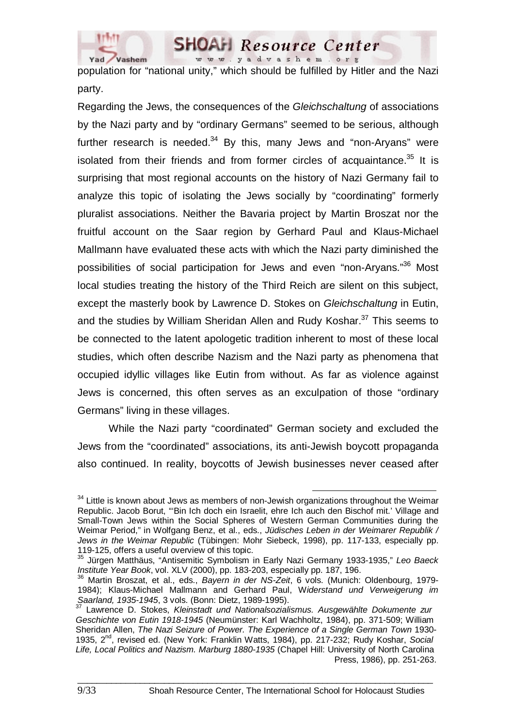

www.yadvashem.org population for "national unity," which should be fulfilled by Hitler and the Nazi party.

**SHOAH** Resource Center

Regarding the Jews, the consequences of the *Gleichschaltung* of associations by the Nazi party and by "ordinary Germans" seemed to be serious, although further research is needed. $34$  By this, many Jews and "non-Aryans" were isolated from their friends and from former circles of acquaintance. $35$  It is surprising that most regional accounts on the history of Nazi Germany fail to analyze this topic of isolating the Jews socially by "coordinating" formerly pluralist associations. Neither the Bavaria project by Martin Broszat nor the fruitful account on the Saar region by Gerhard Paul and Klaus-Michael Mallmann have evaluated these acts with which the Nazi party diminished the possibilities of social participation for Jews and even "non-Aryans."36 Most local studies treating the history of the Third Reich are silent on this subject, except the masterly book by Lawrence D. Stokes on *Gleichschaltung* in Eutin, and the studies by William Sheridan Allen and Rudy Koshar.<sup>37</sup> This seems to be connected to the latent apologetic tradition inherent to most of these local studies, which often describe Nazism and the Nazi party as phenomena that occupied idyllic villages like Eutin from without. As far as violence against Jews is concerned, this often serves as an exculpation of those "ordinary Germans" living in these villages.

While the Nazi party "coordinated" German society and excluded the Jews from the "coordinated" associations, its anti-Jewish boycott propaganda also continued. In reality, boycotts of Jewish businesses never ceased after

 $34$  Little is known about Jews as members of non-Jewish organizations throughout the Weimar Republic. Jacob Borut, "'Bin Ich doch ein Israelit, ehre Ich auch den Bischof mit.' Village and Small-Town Jews within the Social Spheres of Western German Communities during the Weimar Period," in Wolfgang Benz, et al., eds., *Jüdisches Leben in der Weimarer Republik / Jews in the Weimar Republic* (Tübingen: Mohr Siebeck, 1998), pp. 117-133, especially pp. 119-125, offers a useful overview of this topic.

<sup>35</sup> Jürgen Matthäus, "Antisemitic Symbolism in Early Nazi Germany 1933-1935," *Leo Baeck Institute Year Book*, vol. XLV (2000), pp. 183-203, especially pp. 187, 196.<br><sup>36</sup> Martin Broszat, et al., eds., *Bayern in der NS-Zeit*, 6 vols. (Munich: Oldenbourg, 1979-

<sup>1984);</sup> Klaus-Michael Mallmann and Gerhard Paul, W*iderstand und Verweigerung im Saarland, 1935-1945*, 3 vols. (Bonn: Dietz, 1989-1995). 37 Lawrence D. Stokes, *Kleinstadt und Nationalsozialismus. Ausgewählte Dokumente zur* 

*Geschichte von Eutin 1918-1945* (Neumünster: Karl Wachholtz, 1984), pp. 371-509; William Sheridan Allen, *The Nazi Seizure of Power. The Experience of a Single German Town* 1930- 1935, 2nd, revised ed. (New York: Franklin Watts, 1984), pp. 217-232; Rudy Koshar, *Social Life, Local Politics and Nazism. Marburg 1880-1935* (Chapel Hill: University of North Carolina Press, 1986), pp. 251-263.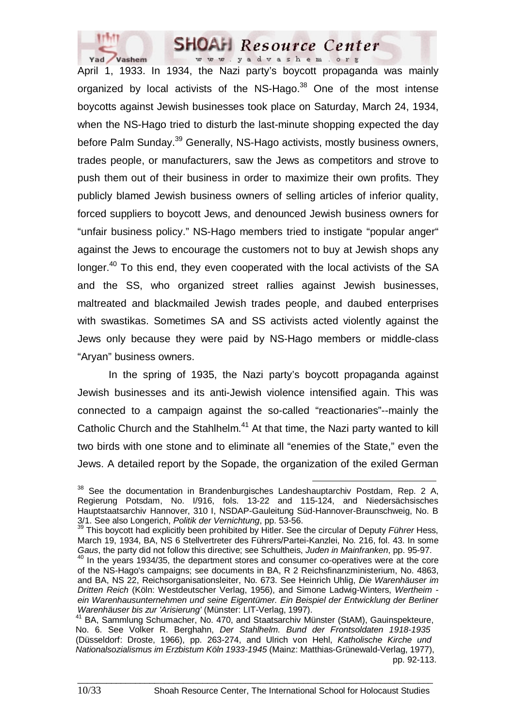

April 1, 1933. In 1934, the Nazi party's boycott propaganda was mainly organized by local activists of the NS-Hago. $38$  One of the most intense boycotts against Jewish businesses took place on Saturday, March 24, 1934, when the NS-Hago tried to disturb the last-minute shopping expected the day before Palm Sunday.<sup>39</sup> Generally, NS-Hago activists, mostly business owners, trades people, or manufacturers, saw the Jews as competitors and strove to push them out of their business in order to maximize their own profits. They publicly blamed Jewish business owners of selling articles of inferior quality, forced suppliers to boycott Jews, and denounced Jewish business owners for "unfair business policy." NS-Hago members tried to instigate "popular anger" against the Jews to encourage the customers not to buy at Jewish shops any longer.<sup>40</sup> To this end, they even cooperated with the local activists of the SA and the SS, who organized street rallies against Jewish businesses, maltreated and blackmailed Jewish trades people, and daubed enterprises with swastikas. Sometimes SA and SS activists acted violently against the Jews only because they were paid by NS-Hago members or middle-class "Aryan" business owners.

In the spring of 1935, the Nazi party's boycott propaganda against Jewish businesses and its anti-Jewish violence intensified again. This was connected to a campaign against the so-called "reactionaries"--mainly the Catholic Church and the Stahlhelm.<sup>41</sup> At that time, the Nazi party wanted to kill two birds with one stone and to eliminate all "enemies of the State," even the Jews. A detailed report by the Sopade, the organization of the exiled German

<sup>&</sup>lt;sup>38</sup> See the documentation in Brandenburgisches Landeshauptarchiv Postdam, Rep. 2 A, Regierung Potsdam, No. I/916, fols. 13-22 and 115-124, and Niedersächsisches Hauptstaatsarchiv Hannover, 310 I, NSDAP-Gauleitung Süd-Hannover-Braunschweig, No. B 3/1. See also Longerich, *Politik der Vernichtung*, pp. 53-56. 39 This boycott had explicitly been prohibited by Hitler. See the circular of Deputy *Führer* Hess,

March 19, 1934, BA, NS 6 Stellvertreter des Führers/Partei-Kanzlei, No. 216, fol. 43. In some *Gaus*, the party did not follow this directive; see Schultheis, *Juden in Mainfranken*, pp. 95-97.

 $40$  In the years 1934/35, the department stores and consumer co-operatives were at the core of the NS-Hago's campaigns; see documents in BA, R 2 Reichsfinanzministerium, No. 4863, and BA, NS 22, Reichsorganisationsleiter, No. 673. See Heinrich Uhlig, *Die Warenhäuser im Dritten Reich* (Köln: Westdeutscher Verlag, 1956), and Simone Ladwig-Winters, *Wertheim*  ein Warenhausunternehmen und seine Eigentümer. Ein Beispiel der Entwicklung der Berliner<br>Warenhäuser bis zur 'Arisierung' (Münster: LIT-Verlag, 1997).

<sup>&</sup>lt;sup>41</sup> BA, Sammlung Schumacher, No. 470, and Staatsarchiv Münster (StAM), Gauinspekteure, No. 6. See Volker R. Berghahn, *Der Stahlhelm. Bund der Frontsoldaten 1918-1935* (Düsseldorf: Droste, 1966), pp. 263-274, and Ulrich von Hehl, *Katholische Kirche und Nationalsozialismus im Erzbistum Köln 1933-1945* (Mainz: Matthias-Grünewald-Verlag, 1977), pp. 92-113.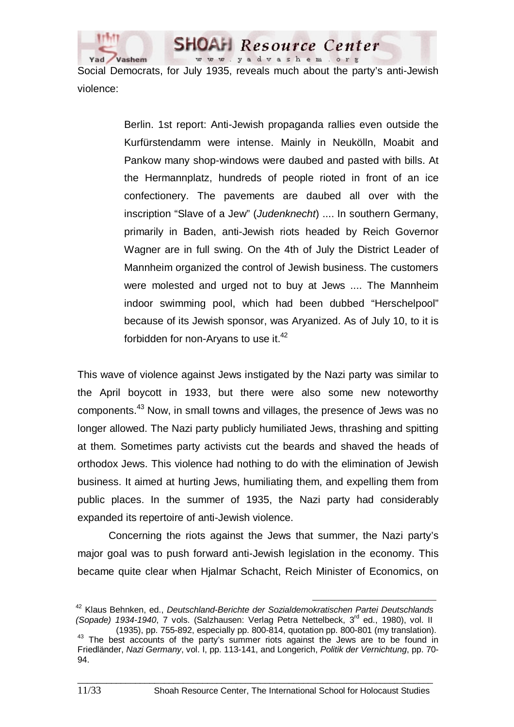

Social Democrats, for July 1935, reveals much about the party's anti-Jewish violence:

**SHOAH** Resource Center www.yadvashem.org

Berlin. 1st report: Anti-Jewish propaganda rallies even outside the Kurfürstendamm were intense. Mainly in Neukölln, Moabit and Pankow many shop-windows were daubed and pasted with bills. At the Hermannplatz, hundreds of people rioted in front of an ice confectionery. The pavements are daubed all over with the inscription "Slave of a Jew" (*Judenknecht*) .... In southern Germany, primarily in Baden, anti-Jewish riots headed by Reich Governor Wagner are in full swing. On the 4th of July the District Leader of Mannheim organized the control of Jewish business. The customers were molested and urged not to buy at Jews .... The Mannheim indoor swimming pool, which had been dubbed "Herschelpool" because of its Jewish sponsor, was Aryanized. As of July 10, to it is forbidden for non-Aryans to use it.<sup>42</sup>

This wave of violence against Jews instigated by the Nazi party was similar to the April boycott in 1933, but there were also some new noteworthy components.43 Now, in small towns and villages, the presence of Jews was no longer allowed. The Nazi party publicly humiliated Jews, thrashing and spitting at them. Sometimes party activists cut the beards and shaved the heads of orthodox Jews. This violence had nothing to do with the elimination of Jewish business. It aimed at hurting Jews, humiliating them, and expelling them from public places. In the summer of 1935, the Nazi party had considerably expanded its repertoire of anti-Jewish violence.

Concerning the riots against the Jews that summer, the Nazi party's major goal was to push forward anti-Jewish legislation in the economy. This became quite clear when Hjalmar Schacht, Reich Minister of Economics, on

42 Klaus Behnken, ed., *Deutschland-Berichte der Sozialdemokratischen Partei Deutschlands (Sopade) 1934-1940, 7 vols. (Salzhausen: Verlag Petra Nettelbeck, 3<sup>rd</sup> ed., 1980), vol. II<br>(1935), pp. 755-892, especially pp. 800-814, quotation pp. 800-801 <i>(mv translation)*.

<sup>&</sup>lt;sup>43</sup> The best accounts of the party's summer riots against the Jews are to be found in Friedländer, *Nazi Germany*, vol. I, pp. 113-141, and Longerich, *Politik der Vernichtung*, pp. 70- 94.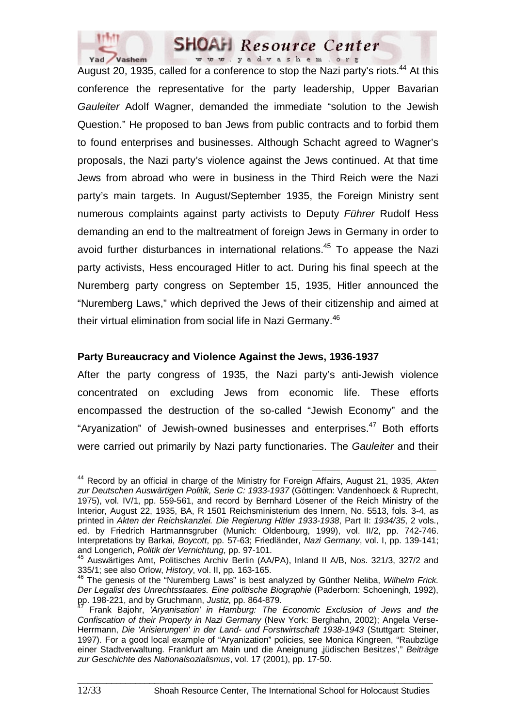

August 20, 1935, called for a conference to stop the Nazi party's riots.<sup>44</sup> At this conference the representative for the party leadership, Upper Bavarian *Gauleiter* Adolf Wagner, demanded the immediate "solution to the Jewish Question." He proposed to ban Jews from public contracts and to forbid them to found enterprises and businesses. Although Schacht agreed to Wagner's proposals, the Nazi party's violence against the Jews continued. At that time Jews from abroad who were in business in the Third Reich were the Nazi party's main targets. In August/September 1935, the Foreign Ministry sent numerous complaints against party activists to Deputy *Führer* Rudolf Hess demanding an end to the maltreatment of foreign Jews in Germany in order to avoid further disturbances in international relations.<sup>45</sup> To appease the Nazi party activists, Hess encouraged Hitler to act. During his final speech at the Nuremberg party congress on September 15, 1935, Hitler announced the "Nuremberg Laws," which deprived the Jews of their citizenship and aimed at their virtual elimination from social life in Nazi Germany.<sup>46</sup>

#### **Party Bureaucracy and Violence Against the Jews, 1936-1937**

After the party congress of 1935, the Nazi party's anti-Jewish violence concentrated on excluding Jews from economic life. These efforts encompassed the destruction of the so-called "Jewish Economy" and the "Aryanization" of Jewish-owned businesses and enterprises.<sup>47</sup> Both efforts were carried out primarily by Nazi party functionaries. The *Gauleiter* and their

44 Record by an official in charge of the Ministry for Foreign Affairs, August 21, 1935, *Akten zur Deutschen Auswärtigen Politik, Serie C: 1933-1937* (Göttingen: Vandenhoeck & Ruprecht, 1975), vol. IV/1, pp. 559-561, and record by Bernhard Lösener of the Reich Ministry of the Interior, August 22, 1935, BA, R 1501 Reichsministerium des Innern, No. 5513, fols. 3-4, as printed in *Akten der Reichskanzlei. Die Regierung Hitler 1933-1938*, Part II: *1934/35*, 2 vols., ed. by Friedrich Hartmannsgruber (Munich: Oldenbourg, 1999), vol. II/2, pp. 742-746. Interpretations by Barkai, *Boycott*, pp. 57-63; Friedländer, *Nazi Germany*, vol. I, pp. 139-141; and Longerich, *Politik der Vernichtung*, pp. 97-101.

<sup>45</sup> Auswärtiges Amt, Politisches Archiv Berlin (AA/PA), Inland II A/B, Nos. 321/3, 327/2 and 335/1; see also Orlow, *History*, vol. II, pp. 163-165. 46 The genesis of the "Nuremberg Laws" is best analyzed by Günther Neliba, *Wilhelm Frick.* 

*Der Legalist des Unrechtsstaates. Eine politische Biographie* (Paderborn: Schoeningh, 1992),

pp. 198-221, and by Gruchmann, *Justiz*, pp. 864-879. 47 Frank Bajohr, *'Aryanisation' in Hamburg: The Economic Exclusion of Jews and the Confiscation of their Property in Nazi Germany* (New York: Berghahn, 2002); Angela Verse-Herrmann, *Die 'Arisierungen' in der Land- und Forstwirtschaft 1938-1943* (Stuttgart: Steiner, 1997). For a good local example of "Aryanization" policies, see Monica Kingreen, "Raubzüge einer Stadtverwaltung. Frankfurt am Main und die Aneignung 'jüdischen Besitzes'," *Beiträge zur Geschichte des Nationalsozialismus*, vol. 17 (2001), pp. 17-50.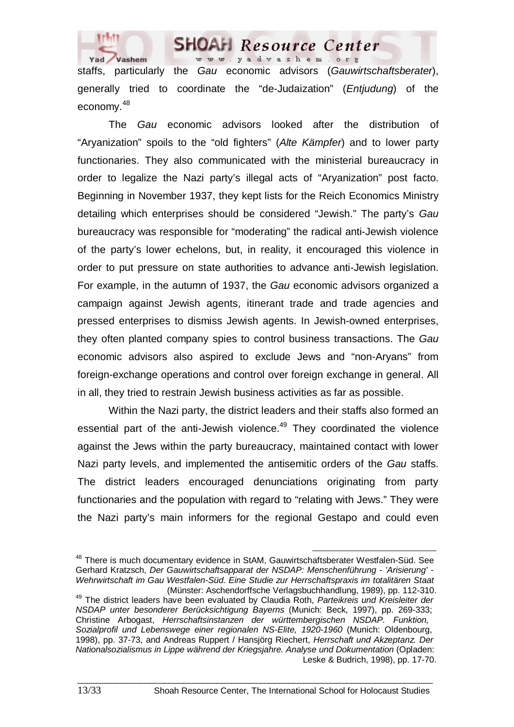

staffs, particularly the *Gau* economic advisors (*Gauwirtschaftsberater*), generally tried to coordinate the "de-Judaization" (*Entjudung*) of the economy.48

The *Gau* economic advisors looked after the distribution of "Aryanization" spoils to the "old fighters" (*Alte Kämpfer*) and to lower party functionaries. They also communicated with the ministerial bureaucracy in order to legalize the Nazi party's illegal acts of "Aryanization" post facto. Beginning in November 1937, they kept lists for the Reich Economics Ministry detailing which enterprises should be considered "Jewish." The party's *Gau* bureaucracy was responsible for "moderating" the radical anti-Jewish violence of the party's lower echelons, but, in reality, it encouraged this violence in order to put pressure on state authorities to advance anti-Jewish legislation. For example, in the autumn of 1937, the *Gau* economic advisors organized a campaign against Jewish agents, itinerant trade and trade agencies and pressed enterprises to dismiss Jewish agents. In Jewish-owned enterprises, they often planted company spies to control business transactions. The *Gau* economic advisors also aspired to exclude Jews and "non-Aryans" from foreign-exchange operations and control over foreign exchange in general. All in all, they tried to restrain Jewish business activities as far as possible.

Within the Nazi party, the district leaders and their staffs also formed an essential part of the anti-Jewish violence.<sup>49</sup> They coordinated the violence against the Jews within the party bureaucracy, maintained contact with lower Nazi party levels, and implemented the antisemitic orders of the *Gau* staffs. The district leaders encouraged denunciations originating from party functionaries and the population with regard to "relating with Jews." They were the Nazi party's main informers for the regional Gestapo and could even

<sup>&</sup>lt;sup>48</sup> There is much documentary evidence in StAM, Gauwirtschaftsberater Westfalen-Süd. See Gerhard Kratzsch, *Der Gauwirtschaftsapparat der NSDAP: Menschenführung - 'Arisierung' - Wehrwirtschaft im Gau Westfalen-Süd. Eine Studie zur Herrschaftspraxis im totalitären Staat*

<sup>&</sup>lt;sup>49</sup> The district leaders have been evaluated by Claudia Roth, Parteikreis und Kreisleiter der *NSDAP unter besonderer Berücksichtigung Bayerns* (Munich: Beck, 1997), pp. 269-333; Christine Arbogast, *Herrschaftsinstanzen der württembergischen NSDAP. Funktion, Sozialprofil und Lebenswege einer regionalen NS-Elite, 1920-1960* (Munich: Oldenbourg, 1998), pp. 37-73, and Andreas Ruppert / Hansjörg Riechert, *Herrschaft und Akzeptanz. Der Nationalsozialismus in Lippe während der Kriegsjahre. Analyse und Dokumentation* (Opladen: Leske & Budrich, 1998), pp. 17-70.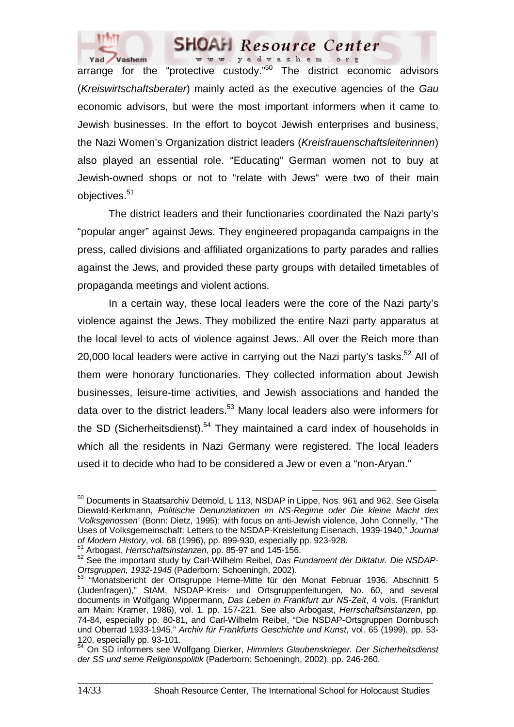

arrange for the "protective custody."<sup>50</sup> The district economic advisors (*Kreiswirtschaftsberater*) mainly acted as the executive agencies of the *Gau* economic advisors, but were the most important informers when it came to Jewish businesses. In the effort to boycot Jewish enterprises and business, the Nazi Women's Organization district leaders (*Kreisfrauenschaftsleiterinnen*) also played an essential role. "Educating" German women not to buy at Jewish-owned shops or not to "relate with Jews" were two of their main objectives.<sup>51</sup>

The district leaders and their functionaries coordinated the Nazi party's "popular anger" against Jews. They engineered propaganda campaigns in the press, called divisions and affiliated organizations to party parades and rallies against the Jews, and provided these party groups with detailed timetables of propaganda meetings and violent actions.

In a certain way, these local leaders were the core of the Nazi party's violence against the Jews. They mobilized the entire Nazi party apparatus at the local level to acts of violence against Jews. All over the Reich more than 20,000 local leaders were active in carrying out the Nazi party's tasks.<sup>52</sup> All of them were honorary functionaries. They collected information about Jewish businesses, leisure-time activities, and Jewish associations and handed the data over to the district leaders.<sup>53</sup> Many local leaders also were informers for the SD (Sicherheitsdienst).<sup>54</sup> They maintained a card index of households in which all the residents in Nazi Germany were registered. The local leaders used it to decide who had to be considered a Jew or even a "non-Aryan."

<sup>&</sup>lt;sup>50</sup> Documents in Staatsarchiv Detmold, L 113, NSDAP in Lippe, Nos. 961 and 962. See Gisela Diewald-Kerkmann, *Politische Denunziationen im NS-Regime oder Die kleine Macht des 'Volksgenossen'* (Bonn: Dietz, 1995); with focus on anti-Jewish violence, John Connelly, "The Uses of Volksgemeinschaft: Letters to the NSDAP-Kreisleitung Eisenach, 1939-1940," *Journal* 

 $51$  Arbogast, *Herrschaftsinstanzen*, pp. 85-97 and 145-156.<br> $52$  See the important study by Carl-Wilhelm Reibel, *Das Fundament der Diktatur. Die NSDAP*-*Ortsgruppen, 1932-1945* (Paderborn: Schoeningh, 2002).<br><sup>53</sup> "Monatsbericht der Ortsgruppe Herne-Mitte für den Monat Februar 1936. Abschnitt 5

<sup>(</sup>Judenfragen)," StAM, NSDAP-Kreis- und Ortsgruppenleitungen, No. 60, and several documents in Wolfgang Wippermann, *Das Leben in Frankfurt zur NS-Zeit*, 4 vols. (Frankfurt am Main: Kramer, 1986), vol. 1, pp. 157-221. See also Arbogast, *Herrschaftsinstanzen*, pp. 74-84, especially pp. 80-81, and Carl-Wilhelm Reibel, "Die NSDAP-Ortsgruppen Dornbusch und Oberrad 1933-1945," *Archiv für Frankfurts Geschichte und Kunst*, vol. 65 (1999), pp. 53- 120, especially pp. 93-101.

<sup>54</sup> On SD informers see Wolfgang Dierker, *Himmlers Glaubenskrieger. Der Sicherheitsdienst der SS und seine Religionspolitik* (Paderborn: Schoeningh, 2002), pp. 246-260.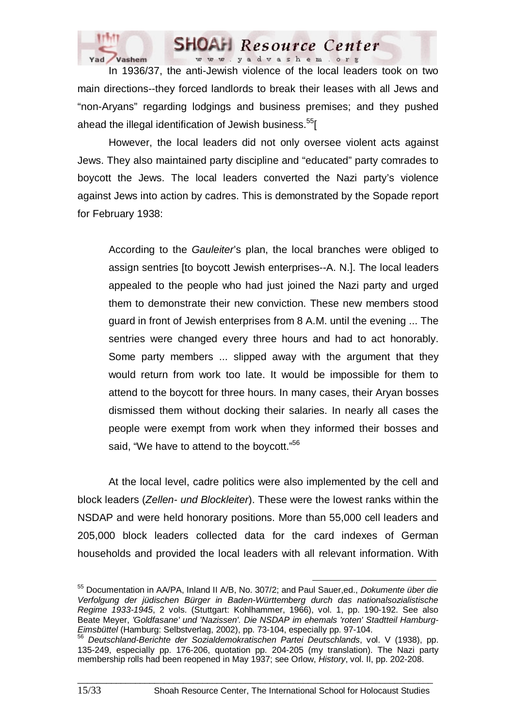

In 1936/37, the anti-Jewish violence of the local leaders took on two main directions--they forced landlords to break their leases with all Jews and "non-Aryans" regarding lodgings and business premises; and they pushed ahead the illegal identification of Jewish business.<sup>55</sup>[

However, the local leaders did not only oversee violent acts against Jews. They also maintained party discipline and "educated" party comrades to boycott the Jews. The local leaders converted the Nazi party's violence against Jews into action by cadres. This is demonstrated by the Sopade report for February 1938:

According to the *Gauleiter*'s plan, the local branches were obliged to assign sentries [to boycott Jewish enterprises--A. N.]. The local leaders appealed to the people who had just joined the Nazi party and urged them to demonstrate their new conviction. These new members stood guard in front of Jewish enterprises from 8 A.M. until the evening ... The sentries were changed every three hours and had to act honorably. Some party members ... slipped away with the argument that they would return from work too late. It would be impossible for them to attend to the boycott for three hours. In many cases, their Aryan bosses dismissed them without docking their salaries. In nearly all cases the people were exempt from work when they informed their bosses and said, "We have to attend to the boycott."<sup>56</sup>

At the local level, cadre politics were also implemented by the cell and block leaders (*Zellen- und Blockleiter*). These were the lowest ranks within the NSDAP and were held honorary positions. More than 55,000 cell leaders and 205,000 block leaders collected data for the card indexes of German households and provided the local leaders with all relevant information. With

55 Documentation in AA/PA, Inland II A/B, No. 307/2; and Paul Sauer,ed., *Dokumente über die Verfolgung der jüdischen Bürger in Baden-Württemberg durch das nationalsozialistische Regime 1933-1945*, 2 vols. (Stuttgart: Kohlhammer, 1966), vol. 1, pp. 190-192. See also Beate Meyer, *'Goldfasane' und 'Nazissen'. Die NSDAP im ehemals 'roten' Stadtteil Hamburg-Eimsbüttel* (Hamburg: Selbstverlag, 2002), pp. 73-104, especially pp. 97-104. 56 *Deutschland-Berichte der Sozialdemokratischen Partei Deutschlands*, vol. V (1938), pp.

<sup>135-249,</sup> especially pp. 176-206, quotation pp. 204-205 (my translation). The Nazi party membership rolls had been reopened in May 1937; see Orlow, *History*, vol. II, pp. 202-208.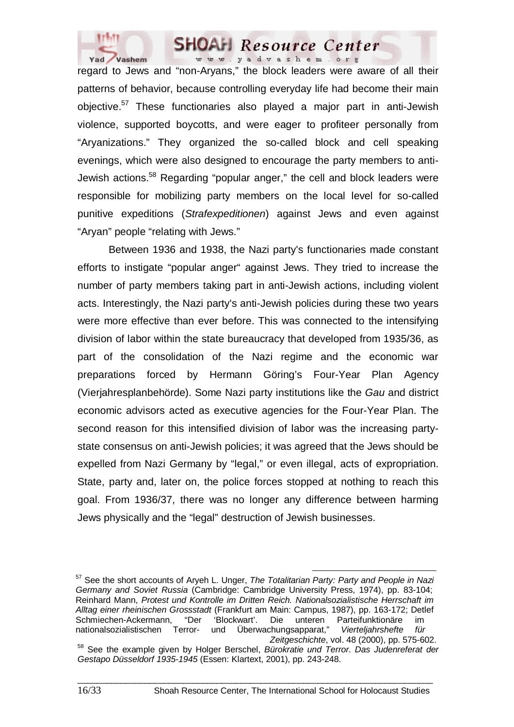

regard to Jews and "non-Aryans," the block leaders were aware of all their patterns of behavior, because controlling everyday life had become their main objective.57 These functionaries also played a major part in anti-Jewish violence, supported boycotts, and were eager to profiteer personally from "Aryanizations." They organized the so-called block and cell speaking evenings, which were also designed to encourage the party members to anti-Jewish actions.<sup>58</sup> Regarding "popular anger," the cell and block leaders were responsible for mobilizing party members on the local level for so-called punitive expeditions (*Strafexpeditionen*) against Jews and even against "Aryan" people "relating with Jews."

Between 1936 and 1938, the Nazi party's functionaries made constant efforts to instigate "popular anger" against Jews. They tried to increase the number of party members taking part in anti-Jewish actions, including violent acts. Interestingly, the Nazi party's anti-Jewish policies during these two years were more effective than ever before. This was connected to the intensifying division of labor within the state bureaucracy that developed from 1935/36, as part of the consolidation of the Nazi regime and the economic war preparations forced by Hermann Göring's Four-Year Plan Agency (Vierjahresplanbehörde). Some Nazi party institutions like the *Gau* and district economic advisors acted as executive agencies for the Four-Year Plan. The second reason for this intensified division of labor was the increasing partystate consensus on anti-Jewish policies; it was agreed that the Jews should be expelled from Nazi Germany by "legal," or even illegal, acts of expropriation. State, party and, later on, the police forces stopped at nothing to reach this goal. From 1936/37, there was no longer any difference between harming Jews physically and the "legal" destruction of Jewish businesses.

57 See the short accounts of Aryeh L. Unger, *The Totalitarian Party: Party and People in Nazi Germany and Soviet Russia* (Cambridge: Cambridge University Press, 1974), pp. 83-104; Reinhard Mann, *Protest und Kontrolle im Dritten Reich. Nationalsozialistische Herrschaft im Alltag einer rheinischen Grossstadt* (Frankfurt am Main: Campus, 1987), pp. 163-172; Detlef Schmiechen-Ackermann, "Der 'Blockwart'. Die unteren Parteifunktionäre im nationalsozialistischen Terror- und Überwachungsapparat," *Vierteljahrshefte für*  <sup>58</sup> See the example given by Holger Berschel, Bürokratie und Terror. Das Judenreferat der *Gestapo Düsseldorf 1935-1945* (Essen: Klartext, 2001), pp. 243-248.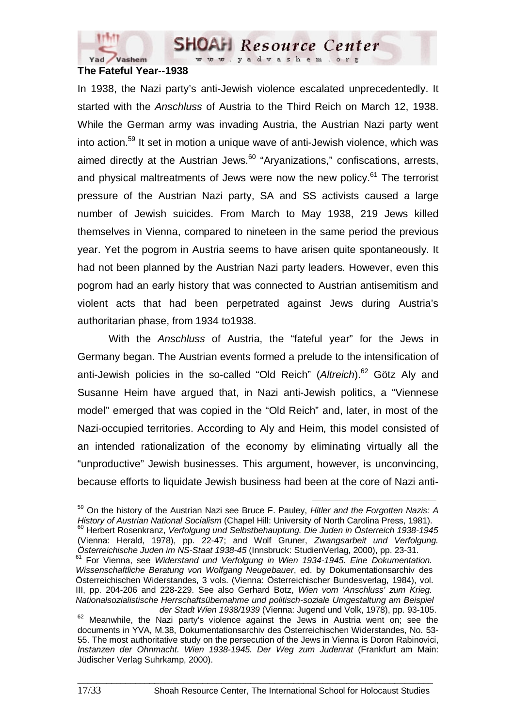

#### **The Fateful Year--1938**

In 1938, the Nazi party's anti-Jewish violence escalated unprecedentedly. It started with the *Anschluss* of Austria to the Third Reich on March 12, 1938. While the German army was invading Austria, the Austrian Nazi party went into action.59 It set in motion a unique wave of anti-Jewish violence, which was aimed directly at the Austrian Jews. $60$  "Aryanizations," confiscations, arrests, and physical maltreatments of Jews were now the new policy.<sup>61</sup> The terrorist pressure of the Austrian Nazi party, SA and SS activists caused a large number of Jewish suicides. From March to May 1938, 219 Jews killed themselves in Vienna, compared to nineteen in the same period the previous year. Yet the pogrom in Austria seems to have arisen quite spontaneously. It had not been planned by the Austrian Nazi party leaders. However, even this pogrom had an early history that was connected to Austrian antisemitism and violent acts that had been perpetrated against Jews during Austria's authoritarian phase, from 1934 to1938.

With the *Anschluss* of Austria, the "fateful year" for the Jews in Germany began. The Austrian events formed a prelude to the intensification of anti-Jewish policies in the so-called "Old Reich" (Altreich).<sup>62</sup> Götz Aly and Susanne Heim have argued that, in Nazi anti-Jewish politics, a "Viennese model" emerged that was copied in the "Old Reich" and, later, in most of the Nazi-occupied territories. According to Aly and Heim, this model consisted of an intended rationalization of the economy by eliminating virtually all the "unproductive" Jewish businesses. This argument, however, is unconvincing, because efforts to liquidate Jewish business had been at the core of Nazi anti-

59 On the history of the Austrian Nazi see Bruce F. Pauley, *Hitler and the Forgotten Nazis: A History of Austrian National Socialism* (Chapel Hill: University of North Carolina Press, 1981).<br><sup>60</sup> Herbert Rosenkranz, *Verfolgung und Selbstbehauptung. Die Juden in Österreich 1938-1945* (Vienna: Herald, 1978), pp. 22-47; and Wolf Gruner, *Zwangsarbeit und Verfolgung. Österreichische Juden im NS-Staat 1938-45* (Innsbruck: StudienVerlag, 2000), pp. 23-31. 61 For Vienna, see *Widerstand und Verfolgung in Wien 1934-1945. Eine Dokumentation. Wissenschaftliche Beratung von Wolfgang Neugebauer*, ed. by Dokumentationsarchiv des Österreichischen Widerstandes, 3 vols. (Vienna: Österreichischer Bundesverlag, 1984), vol. III, pp. 204-206 and 228-229. See also Gerhard Botz, *Wien vom 'Anschluss' zum Krieg.* 

*Nationalsozialistische Herrschaftsübernahme und politisch-soziale Umgestaltung am Beispiel* 

<sup>&</sup>lt;sup>62</sup> Meanwhile, the Nazi party's violence against the Jews in Austria went on; see the documents in YVA, M.38, Dokumentationsarchiv des Österreichischen Widerstandes, No. 53- 55. The most authoritative study on the persecution of the Jews in Vienna is Doron Rabinovici, *Instanzen der Ohnmacht. Wien 1938-1945. Der Weg zum Judenrat* (Frankfurt am Main: Jüdischer Verlag Suhrkamp, 2000).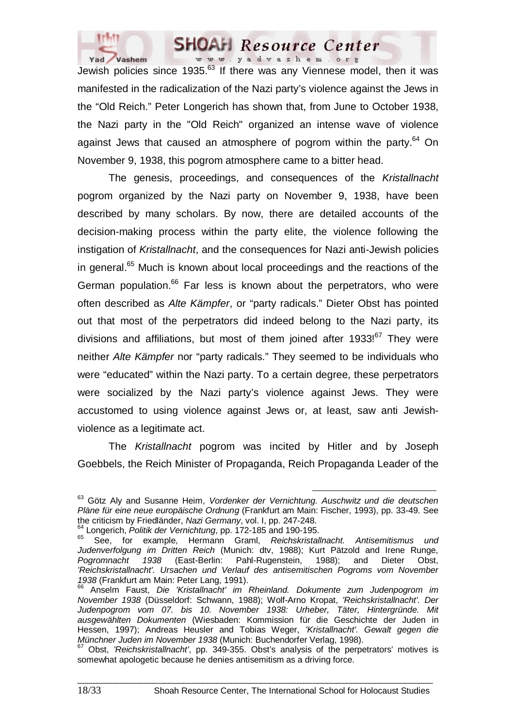

Jewish policies since  $1935$ .  $63$  If there was any Viennese model, then it was manifested in the radicalization of the Nazi party's violence against the Jews in the "Old Reich." Peter Longerich has shown that, from June to October 1938, the Nazi party in the "Old Reich" organized an intense wave of violence against Jews that caused an atmosphere of pogrom within the party. $64$  On November 9, 1938, this pogrom atmosphere came to a bitter head.

The genesis, proceedings, and consequences of the *Kristallnacht* pogrom organized by the Nazi party on November 9, 1938, have been described by many scholars. By now, there are detailed accounts of the decision-making process within the party elite, the violence following the instigation of *Kristallnacht*, and the consequences for Nazi anti-Jewish policies in general.<sup>65</sup> Much is known about local proceedings and the reactions of the German population. $66$  Far less is known about the perpetrators, who were often described as *Alte Kämpfer*, or "party radicals." Dieter Obst has pointed out that most of the perpetrators did indeed belong to the Nazi party, its divisions and affiliations, but most of them joined after  $1933!^{67}$  They were neither *Alte Kämpfer* nor "party radicals." They seemed to be individuals who were "educated" within the Nazi party. To a certain degree, these perpetrators were socialized by the Nazi party's violence against Jews. They were accustomed to using violence against Jews or, at least, saw anti Jewishviolence as a legitimate act.

The *Kristallnacht* pogrom was incited by Hitler and by Joseph Goebbels, the Reich Minister of Propaganda, Reich Propaganda Leader of the

63 Götz Aly and Susanne Heim, *Vordenker der Vernichtung. Auschwitz und die deutschen Pläne für eine neue europäische Ordnung* (Frankfurt am Main: Fischer, 1993), pp. 33-49. See the criticism by Friedländer, Nazi Germany, vol. I, pp. 247-248.<br><sup>64</sup> Longerich, *Politik der Vernichtung*, pp. 172-185 and 190-195.<br><sup>65</sup> See, for example, Hermann Graml, *Reichskristallnacht. Antisemitismus und* 

*Judenverfolgung im Dritten Reich* (Munich: dtv, 1988); Kurt Pätzold and Irene Runge, *Pogromnacht 1938* (East-Berlin: Pahl-Rugenstein, 1988); and Dieter Obst, *'Reichskristallnacht'. Ursachen und Verlauf des antisemitischen Pogroms vom November 1938* (Frankfurt am Main: Peter Lang, 1991).<br><sup>66</sup> Aposlav Faust, Die Wert in 1991.

<sup>&</sup>lt;sup>3</sup> Anselm Faust, Die 'Kristallnacht' im Rheinland. Dokumente zum Judenpogrom im *November 1938* (Düsseldorf: Schwann, 1988); Wolf-Arno Kropat, *'Reichskristallnacht'. Der Judenpogrom vom 07. bis 10. November 1938: Urheber, Täter, Hintergründe. Mit ausgewählten Dokumenten* (Wiesbaden: Kommission für die Geschichte der Juden in Hessen, 1997); Andreas Heusler and Tobias Weger, *'Kristallnacht'. Gewalt gegen die* 

<sup>&</sup>lt;sup>67</sup> Obst, *'Reichskristallnacht'*, pp. 349-355. Obst's analysis of the perpetrators' motives is somewhat apologetic because he denies antisemitism as a driving force.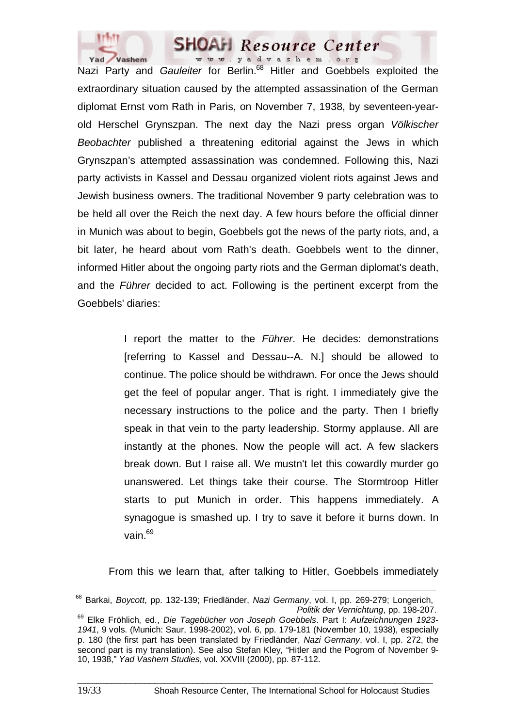

Nazi Party and *Gauleiter* for Berlin.<sup>68</sup> Hitler and Goebbels exploited the extraordinary situation caused by the attempted assassination of the German diplomat Ernst vom Rath in Paris, on November 7, 1938, by seventeen-yearold Herschel Grynszpan. The next day the Nazi press organ *Völkischer Beobachter* published a threatening editorial against the Jews in which Grynszpan's attempted assassination was condemned. Following this, Nazi party activists in Kassel and Dessau organized violent riots against Jews and Jewish business owners. The traditional November 9 party celebration was to be held all over the Reich the next day. A few hours before the official dinner in Munich was about to begin, Goebbels got the news of the party riots, and, a bit later, he heard about vom Rath's death. Goebbels went to the dinner, informed Hitler about the ongoing party riots and the German diplomat's death, and the *Führer* decided to act. Following is the pertinent excerpt from the Goebbels' diaries:

> I report the matter to the *Führer*. He decides: demonstrations [referring to Kassel and Dessau--A. N.] should be allowed to continue. The police should be withdrawn. For once the Jews should get the feel of popular anger. That is right. I immediately give the necessary instructions to the police and the party. Then I briefly speak in that vein to the party leadership. Stormy applause. All are instantly at the phones. Now the people will act. A few slackers break down. But I raise all. We mustn't let this cowardly murder go unanswered. Let things take their course. The Stormtroop Hitler starts to put Munich in order. This happens immediately. A synagogue is smashed up. I try to save it before it burns down. In vain.69

From this we learn that, after talking to Hitler, Goebbels immediately

68 Barkai, *Boycott*, pp. 132-139; Friedländer, *Nazi Germany*, vol. I, pp. 269-279; Longerich,

*Politik der Vernichtung*, pp. 198-207. 69 Elke Fröhlich, ed., *Die Tagebücher von Joseph Goebbels*. Part I: *Aufzeichnungen 1923- 1941*, 9 vols. (Munich: Saur, 1998-2002), vol. 6, pp. 179-181 (November 10, 1938), especially p. 180 (the first part has been translated by Friedländer, *Nazi Germany*, vol. I, pp. 272, the second part is my translation). See also Stefan Kley, "Hitler and the Pogrom of November 9- 10, 1938," *Yad Vashem Studies*, vol. XXVIII (2000), pp. 87-112.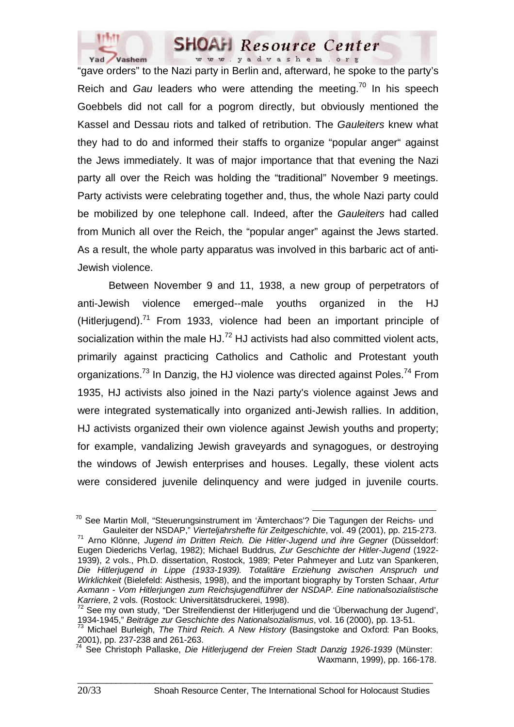

"gave orders" to the Nazi party in Berlin and, afterward, he spoke to the party's Reich and *Gau* leaders who were attending the meeting.<sup>70</sup> In his speech Goebbels did not call for a pogrom directly, but obviously mentioned the Kassel and Dessau riots and talked of retribution. The *Gauleiters* knew what they had to do and informed their staffs to organize "popular anger" against the Jews immediately. It was of major importance that that evening the Nazi party all over the Reich was holding the "traditional" November 9 meetings. Party activists were celebrating together and, thus, the whole Nazi party could be mobilized by one telephone call. Indeed, after the *Gauleiters* had called from Munich all over the Reich, the "popular anger" against the Jews started. As a result, the whole party apparatus was involved in this barbaric act of anti-Jewish violence.

Between November 9 and 11, 1938, a new group of perpetrators of anti-Jewish violence emerged--male youths organized in the HJ (Hitlerjugend).<sup>71</sup> From 1933, violence had been an important principle of socialization within the male HJ. $^{72}$  HJ activists had also committed violent acts, primarily against practicing Catholics and Catholic and Protestant youth organizations.<sup>73</sup> In Danzig, the HJ violence was directed against Poles.<sup>74</sup> From 1935, HJ activists also joined in the Nazi party's violence against Jews and were integrated systematically into organized anti-Jewish rallies. In addition, HJ activists organized their own violence against Jewish youths and property; for example, vandalizing Jewish graveyards and synagogues, or destroying the windows of Jewish enterprises and houses. Legally, these violent acts were considered juvenile delinquency and were judged in juvenile courts.

<sup>&</sup>lt;sup>70</sup> See Martin Moll, "Steuerungsinstrument im 'Ämterchaos'? Die Tagungen der Reichs- und<br>Gauleiter der NSDAP," Vierteljahrshefte für Zeitgeschichte, vol. 49 (2001), pp. 215-273.

<sup>&</sup>lt;sup>71</sup> Arno Klönne, Jugend im Dritten Reich. Die Hitler-Jugend und ihre Gegner (Düsseldorf: Eugen Diederichs Verlag, 1982); Michael Buddrus, *Zur Geschichte der Hitler-Jugend* (1922- 1939), 2 vols., Ph.D. dissertation, Rostock, 1989; Peter Pahmeyer and Lutz van Spankeren, *Die Hitlerjugend in Lippe (1933-1939). Totalitäre Erziehung zwischen Anspruch und Wirklichkeit* (Bielefeld: Aisthesis, 1998), and the important biography by Torsten Schaar, *Artur Axmann - Vom Hitlerjungen zum Reichsjugendführer der NSDAP. Eine nationalsozialistische Karriere*, 2 vols. (Rostock: Universitätsdruckerei, 1998).

 $72$  See my own study, "Der Streifendienst der Hitlerjugend und die 'Überwachung der Jugend', 1934-1945," Beiträge zur Geschichte des Nationalsozialismus, vol. 16 (2000), pp. 13-51.

<sup>&</sup>lt;sup>73</sup> Michael Burleigh, The Third Reich. A New History (Basingstoke and Oxford: Pan Books, 2001), pp. 237-238 and 261-263.

<sup>74</sup> See Christoph Pallaske, *Die Hitlerjugend der Freien Stadt Danzig 1926-1939* (Münster: Waxmann, 1999), pp. 166-178.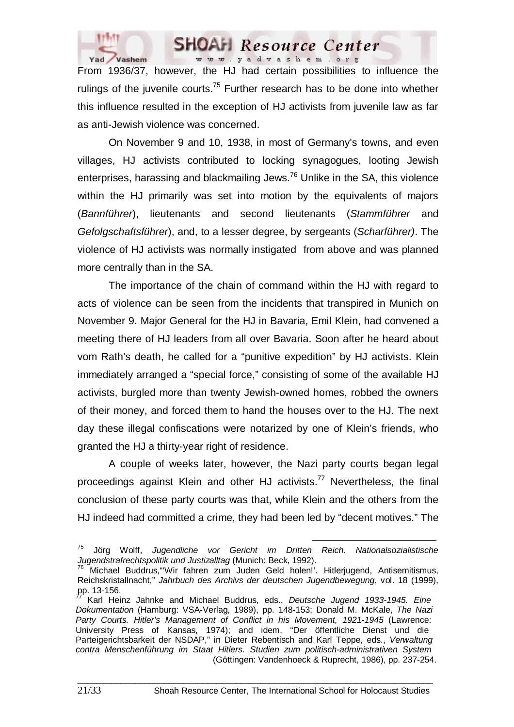

www.yadvashem.org From 1936/37, however, the HJ had certain possibilities to influence the rulings of the juvenile courts.<sup>75</sup> Further research has to be done into whether this influence resulted in the exception of HJ activists from juvenile law as far as anti-Jewish violence was concerned.

**SHOAH** Resource Center

On November 9 and 10, 1938, in most of Germany's towns, and even villages, HJ activists contributed to locking synagogues, looting Jewish enterprises, harassing and blackmailing Jews.<sup>76</sup> Unlike in the SA, this violence within the HJ primarily was set into motion by the equivalents of majors (*Bannführer*), lieutenants and second lieutenants (*Stammführer* and *Gefolgschaftsführer*), and, to a lesser degree, by sergeants (*Scharführer)*. The violence of HJ activists was normally instigated from above and was planned more centrally than in the SA.

The importance of the chain of command within the HJ with regard to acts of violence can be seen from the incidents that transpired in Munich on November 9. Major General for the HJ in Bavaria, Emil Klein, had convened a meeting there of HJ leaders from all over Bavaria. Soon after he heard about vom Rath's death, he called for a "punitive expedition" by HJ activists. Klein immediately arranged a "special force," consisting of some of the available HJ activists, burgled more than twenty Jewish-owned homes, robbed the owners of their money, and forced them to hand the houses over to the HJ. The next day these illegal confiscations were notarized by one of Klein's friends, who granted the HJ a thirty-year right of residence.

A couple of weeks later, however, the Nazi party courts began legal proceedings against Klein and other HJ activists.<sup>77</sup> Nevertheless, the final conclusion of these party courts was that, while Klein and the others from the HJ indeed had committed a crime, they had been led by "decent motives." The

75 Jörg Wolff, *Jugendliche vor Gericht im Dritten Reich. Nationalsozialistische Jugendstrafrechtspolitik und Justizalltag* (Munich: Beck, 1992).

<sup>&</sup>lt;sup>76</sup> Michael Buddrus, "Wir fahren zum Juden Geld holen!'. Hitlerjugend, Antisemitismus, Reichskristallnacht," *Jahrbuch des Archivs der deutschen Jugendbewegung*, vol. 18 (1999),  $pp. 13-156.$ 

<sup>77</sup> Karl Heinz Jahnke and Michael Buddrus, eds., *Deutsche Jugend 1933-1945. Eine Dokumentation* (Hamburg: VSA-Verlag, 1989), pp. 148-153; Donald M. McKale, *The Nazi Party Courts. Hitler's Management of Conflict in his Movement, 1921-1945* (Lawrence: University Press of Kansas, 1974); and idem, "Der öffentliche Dienst und die Parteigerichtsbarkeit der NSDAP," in Dieter Rebentisch and Karl Teppe, eds., *Verwaltung contra Menschenführung im Staat Hitlers. Studien zum politisch-administrativen System* (Göttingen: Vandenhoeck & Ruprecht, 1986), pp. 237-254.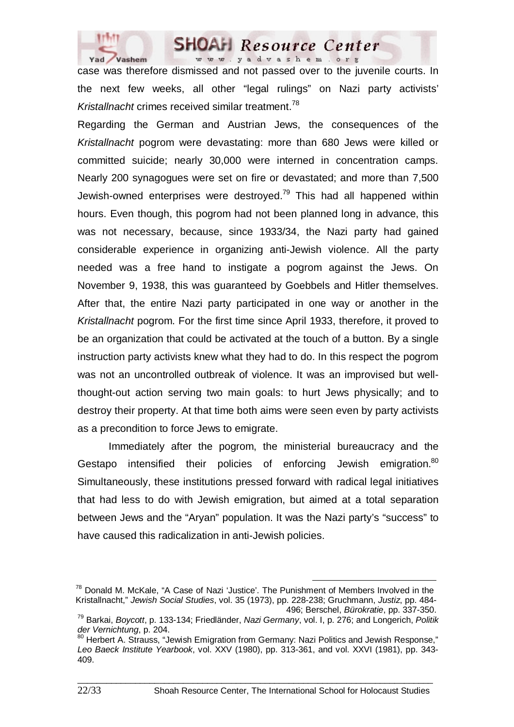

case was therefore dismissed and not passed over to the juvenile courts. In the next few weeks, all other "legal rulings" on Nazi party activists' *Kristallnacht* crimes received similar treatment.<sup>78</sup>

Regarding the German and Austrian Jews, the consequences of the *Kristallnacht* pogrom were devastating: more than 680 Jews were killed or committed suicide; nearly 30,000 were interned in concentration camps. Nearly 200 synagogues were set on fire or devastated; and more than 7,500 Jewish-owned enterprises were destroyed.<sup>79</sup> This had all happened within hours. Even though, this pogrom had not been planned long in advance, this was not necessary, because, since 1933/34, the Nazi party had gained considerable experience in organizing anti-Jewish violence. All the party needed was a free hand to instigate a pogrom against the Jews. On November 9, 1938, this was guaranteed by Goebbels and Hitler themselves. After that, the entire Nazi party participated in one way or another in the *Kristallnacht* pogrom. For the first time since April 1933, therefore, it proved to be an organization that could be activated at the touch of a button. By a single instruction party activists knew what they had to do. In this respect the pogrom was not an uncontrolled outbreak of violence. It was an improvised but wellthought-out action serving two main goals: to hurt Jews physically; and to destroy their property. At that time both aims were seen even by party activists as a precondition to force Jews to emigrate.

Immediately after the pogrom, the ministerial bureaucracy and the Gestapo intensified their policies of enforcing Jewish emigration.<sup>80</sup> Simultaneously, these institutions pressed forward with radical legal initiatives that had less to do with Jewish emigration, but aimed at a total separation between Jews and the "Aryan" population. It was the Nazi party's "success" to have caused this radicalization in anti-Jewish policies.

<sup>&</sup>lt;sup>78</sup> Donald M. McKale, "A Case of Nazi 'Justice'. The Punishment of Members Involved in the Kristallnacht," *Jewish Social Studies*, vol. 35 (1973), pp. 228-238; Gruchmann, *Justiz*, pp. 484-

<sup>&</sup>lt;sup>79</sup> Barkai, *Boycott*, p. 133-134; Friedländer, *Nazi Germany*, vol. I, p. 276; and Longerich, *Politik der Vernichtung*, p. 204.

<sup>80</sup> Herbert A. Strauss, "Jewish Emigration from Germany: Nazi Politics and Jewish Response." *Leo Baeck Institute Yearbook*, vol. XXV (1980), pp. 313-361, and vol. XXVI (1981), pp. 343- 409.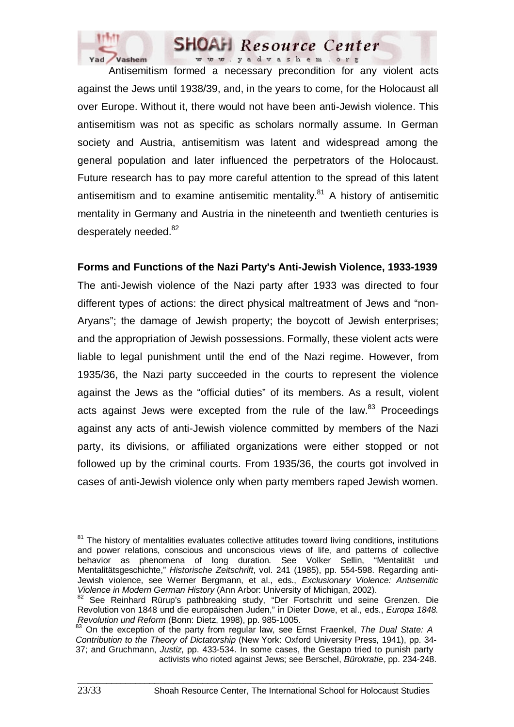

Antisemitism formed a necessary precondition for any violent acts against the Jews until 1938/39, and, in the years to come, for the Holocaust all over Europe. Without it, there would not have been anti-Jewish violence. This antisemitism was not as specific as scholars normally assume. In German society and Austria, antisemitism was latent and widespread among the general population and later influenced the perpetrators of the Holocaust. Future research has to pay more careful attention to the spread of this latent antisemitism and to examine antisemitic mentality. $81$  A history of antisemitic mentality in Germany and Austria in the nineteenth and twentieth centuries is desperately needed.<sup>82</sup>

# **Forms and Functions of the Nazi Party's Anti-Jewish Violence, 1933-1939**

The anti-Jewish violence of the Nazi party after 1933 was directed to four different types of actions: the direct physical maltreatment of Jews and "non-Aryans"; the damage of Jewish property; the boycott of Jewish enterprises; and the appropriation of Jewish possessions. Formally, these violent acts were liable to legal punishment until the end of the Nazi regime. However, from 1935/36, the Nazi party succeeded in the courts to represent the violence against the Jews as the "official duties" of its members. As a result, violent acts against Jews were excepted from the rule of the law. $83$  Proceedings against any acts of anti-Jewish violence committed by members of the Nazi party, its divisions, or affiliated organizations were either stopped or not followed up by the criminal courts. From 1935/36, the courts got involved in cases of anti-Jewish violence only when party members raped Jewish women.

 $81$  The history of mentalities evaluates collective attitudes toward living conditions, institutions and power relations, conscious and unconscious views of life, and patterns of collective behavior as phenomena of long duration*.* See Volker Sellin, "Mentalität und Mentalitätsgeschichte," *Historische Zeitschrift*, vol. 241 (1985), pp. 554-598. Regarding anti-Jewish violence, see Werner Bergmann, et al., eds., *Exclusionary Violence: Antisemitic Violence in Modern German History* (Ann Arbor: University of Michigan, 2002).<br><sup>82</sup> See Reinhard Rürup's pathbreaking study, "Der Fortschritt und seine Grenzen. Die

Revolution von 1848 und die europäischen Juden," in Dieter Dowe, et al., eds., *Europa 1848. Revolution und Reform* (Bonn: Dietz, 1998), pp. 985-1005.<br><sup>83</sup> On the exception of the party from regular law, see Ernst Fraenkel, *The Dual State: A* 

*Contribution to the Theory of Dictatorship* (New York: Oxford University Press, 1941), pp. 34- 37; and Gruchmann, *Justiz*, pp. 433-534. In some cases, the Gestapo tried to punish party activists who rioted against Jews; see Berschel, *Bürokratie*, pp. 234-248.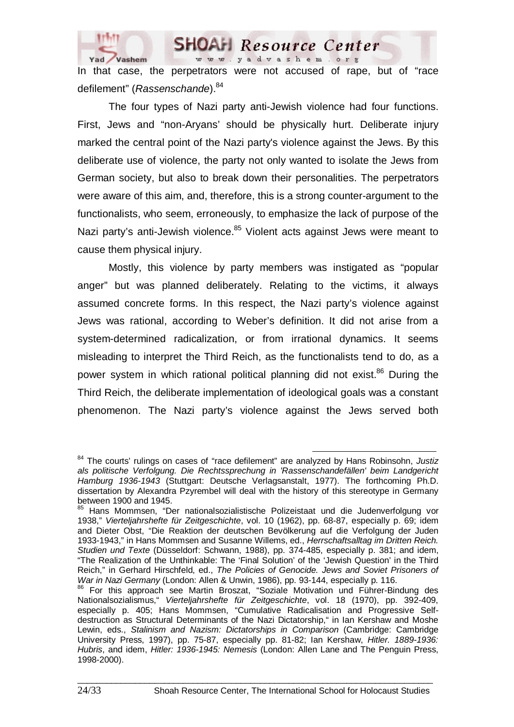

In that case, the perpetrators were not accused of rape, but of "race defilement" (*Rassenschande*).<sup>84</sup>

The four types of Nazi party anti-Jewish violence had four functions. First, Jews and "non-Aryans' should be physically hurt. Deliberate injury marked the central point of the Nazi party's violence against the Jews. By this deliberate use of violence, the party not only wanted to isolate the Jews from German society, but also to break down their personalities. The perpetrators were aware of this aim, and, therefore, this is a strong counter-argument to the functionalists, who seem, erroneously, to emphasize the lack of purpose of the Nazi party's anti-Jewish violence.<sup>85</sup> Violent acts against Jews were meant to cause them physical injury.

Mostly, this violence by party members was instigated as "popular anger" but was planned deliberately. Relating to the victims, it always assumed concrete forms. In this respect, the Nazi party's violence against Jews was rational, according to Weber's definition. It did not arise from a system-determined radicalization, or from irrational dynamics. It seems misleading to interpret the Third Reich, as the functionalists tend to do, as a power system in which rational political planning did not exist.<sup>86</sup> During the Third Reich, the deliberate implementation of ideological goals was a constant phenomenon. The Nazi party's violence against the Jews served both

84 The courts' rulings on cases of "race defilement" are analyzed by Hans Robinsohn, *Justiz als politische Verfolgung. Die Rechtssprechung in 'Rassenschandefällen' beim Landgericht Hamburg 1936-1943* (Stuttgart: Deutsche Verlagsanstalt, 1977). The forthcoming Ph.D. dissertation by Alexandra Pzyrembel will deal with the history of this stereotype in Germany between 1900 and 1945.

<sup>85</sup> Hans Mommsen, "Der nationalsozialistische Polizeistaat und die Judenverfolgung vor 1938," *Vierteljahrshefte für Zeitgeschichte*, vol. 10 (1962), pp. 68-87, especially p. 69; idem and Dieter Obst, "Die Reaktion der deutschen Bevölkerung auf die Verfolgung der Juden 1933-1943," in Hans Mommsen and Susanne Willems, ed., *Herrschaftsalltag im Dritten Reich. Studien und Texte* (Düsseldorf: Schwann, 1988), pp. 374-485, especially p. 381; and idem, "The Realization of the Unthinkable: The 'Final Solution' of the 'Jewish Question' in the Third Reich," in Gerhard Hirschfeld, ed., *The Policies of Genocide. Jews and Soviet Prisoners of War in Nazi Germany* (London: Allen & Unwin, 1986), pp. 93-144, especially p. 116.

<sup>&</sup>lt;sup>86</sup> For this approach see Martin Broszat, "Soziale Motivation und Führer-Bindung des Nationalsozialismus," *Vierteljahrshefte für Zeitgeschichte*, vol. 18 (1970), pp. 392-409, especially p. 405; Hans Mommsen, "Cumulative Radicalisation and Progressive Selfdestruction as Structural Determinants of the Nazi Dictatorship," in Ian Kershaw and Moshe Lewin, eds., *Stalinism and Nazism: Dictatorships in Comparison* (Cambridge: Cambridge University Press, 1997), pp. 75-87, especially pp. 81-82; Ian Kershaw, *Hitler. 1889-1936: Hubris*, and idem, *Hitler: 1936-1945: Nemesis* (London: Allen Lane and The Penguin Press, 1998-2000).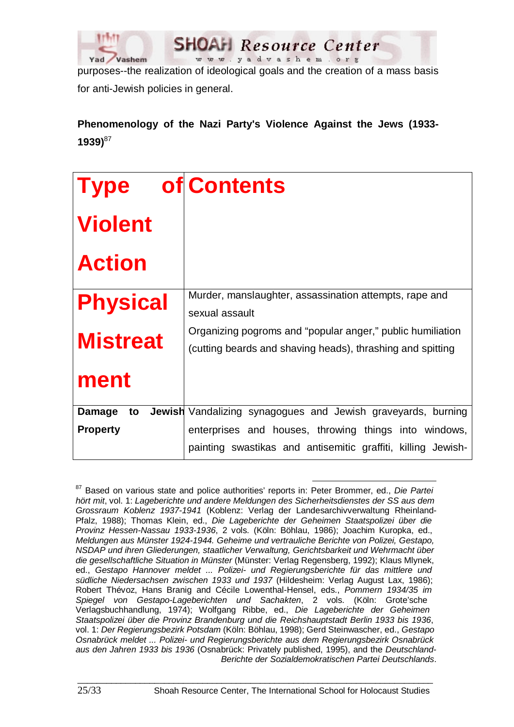

purposes--the realization of ideological goals and the creation of a mass basis for anti-Jewish policies in general.

# **Phenomenology of the Nazi Party's Violence Against the Jews (1933- 1939)**<sup>87</sup>

| <b>Type</b>     | of Contents                                                                                                              |
|-----------------|--------------------------------------------------------------------------------------------------------------------------|
| <b>Violent</b>  |                                                                                                                          |
| <b>Action</b>   |                                                                                                                          |
| <b>Physical</b> | Murder, manslaughter, assassination attempts, rape and<br>sexual assault                                                 |
| <b>Mistreat</b> | Organizing pogroms and "popular anger," public humiliation<br>(cutting beards and shaving heads), thrashing and spitting |
| ment            |                                                                                                                          |
| Damage<br>to    | <b>Jewish</b> Vandalizing synagogues and Jewish graveyards, burning                                                      |
| <b>Property</b> | enterprises and houses, throwing things into windows,                                                                    |
|                 | painting swastikas and antisemitic graffiti, killing Jewish-                                                             |

87 Based on various state and police authorities' reports in: Peter Brommer, ed., *Die Partei hört mit*, vol. 1: *Lageberichte und andere Meldungen des Sicherheitsdienstes der SS aus dem Grossraum Koblenz 1937-1941* (Koblenz: Verlag der Landesarchivverwaltung Rheinland-Pfalz, 1988); Thomas Klein, ed., *Die Lageberichte der Geheimen Staatspolizei über die Provinz Hessen-Nassau 1933-1936*, 2 vols. (Köln: Böhlau, 1986); Joachim Kuropka, ed., *Meldungen aus Münster 1924-1944. Geheime und vertrauliche Berichte von Polizei, Gestapo, NSDAP und ihren Gliederungen, staatlicher Verwaltung, Gerichtsbarkeit und Wehrmacht über die gesellschaftliche Situation in Münster* (Münster: Verlag Regensberg, 1992); Klaus Mlynek, ed., *Gestapo Hannover meldet ... Polizei- und Regierungsberichte für das mittlere und südliche Niedersachsen zwischen 1933 und 1937* (Hildesheim: Verlag August Lax, 1986); Robert Thévoz, Hans Branig and Cécile Lowenthal-Hensel, eds., *Pommern 1934/35 im Spiegel von Gestapo-Lageberichten und Sachakten*, 2 vols. (Köln: Grote'sche Verlagsbuchhandlung, 1974); Wolfgang Ribbe, ed., *Die Lageberichte der Geheimen Staatspolizei über die Provinz Brandenburg und die Reichshauptstadt Berlin 1933 bis 1936*, vol. 1: *Der Regierungsbezirk Potsdam* (Köln: Böhlau, 1998); Gerd Steinwascher, ed., *Gestapo Osnabrück meldet ... Polizei- und Regierungsberichte aus dem Regierungsbezirk Osnabrück aus den Jahren 1933 bis 1936* (Osnabrück: Privately published, 1995), and the *Deutschland-Berichte der Sozialdemokratischen Partei Deutschlands*.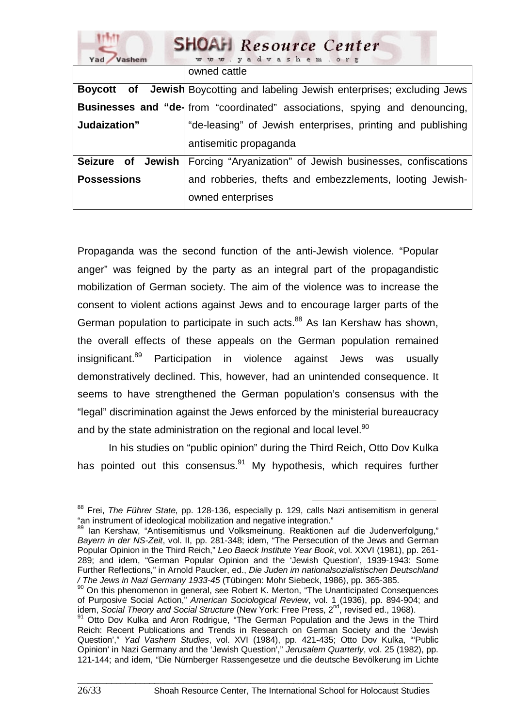| <b>SHOAH</b> Resource Center<br>www.yadvashem.org<br>Yad Vashem |                                                                                     |
|-----------------------------------------------------------------|-------------------------------------------------------------------------------------|
|                                                                 | owned cattle                                                                        |
|                                                                 | <b>Boycott</b> of Jewish Boycotting and labeling Jewish enterprises; excluding Jews |
|                                                                 | <b>Businesses and "de-</b> from "coordinated" associations, spying and denouncing,  |
| Judaization"                                                    | "de-leasing" of Jewish enterprises, printing and publishing                         |
|                                                                 | antisemitic propaganda                                                              |
| Seizure of Jewish                                               | Forcing "Aryanization" of Jewish businesses, confiscations                          |
| <b>Possessions</b>                                              | and robberies, thefts and embezzlements, looting Jewish-                            |
|                                                                 | owned enterprises                                                                   |

Propaganda was the second function of the anti-Jewish violence. "Popular anger" was feigned by the party as an integral part of the propagandistic mobilization of German society. The aim of the violence was to increase the consent to violent actions against Jews and to encourage larger parts of the German population to participate in such acts.<sup>88</sup> As Ian Kershaw has shown, the overall effects of these appeals on the German population remained insignificant.<sup>89</sup> Participation in violence against Jews was usually demonstratively declined. This, however, had an unintended consequence. It seems to have strengthened the German population's consensus with the "legal" discrimination against the Jews enforced by the ministerial bureaucracy and by the state administration on the regional and local level.<sup>90</sup>

In his studies on "public opinion" during the Third Reich, Otto Dov Kulka has pointed out this consensus. $91$  My hypothesis, which requires further

88 Frei, *The Führer State*, pp. 128-136, especially p. 129, calls Nazi antisemitism in general "an instrument of ideological mobilization and negative integration."

<sup>89</sup> Ian Kershaw, "Antisemitismus und Volksmeinung. Reaktionen auf die Judenverfolgung," *Bayern in der NS-Zeit*, vol. II, pp. 281-348; idem, "The Persecution of the Jews and German Popular Opinion in the Third Reich," *Leo Baeck Institute Year Book*, vol. XXVI (1981), pp. 261- 289; and idem, "German Popular Opinion and the 'Jewish Question', 1939-1943: Some Further Reflections," in Arnold Paucker, ed., *Die Juden im nationalsozialistischen Deutschland / The Jews in Nazi Germany 1933-45* (Tübingen: Mohr Siebeck, 1986), pp. 365-385. 90 On this phenomenon in general, see Robert K. Merton, "The Unanticipated Consequences

of Purposive Social Action," *American Sociological Review*, vol. 1 (1936), pp. 894-904; and idem, *Social Theory and Social Structure* (New York: Free Press, 2nd, revised ed., 1968).

<sup>&</sup>lt;sup>91</sup> Otto Dov Kulka and Aron Rodrigue, "The German Population and the Jews in the Third Reich: Recent Publications and Trends in Research on German Society and the 'Jewish Question'," *Yad Vashem Studies*, vol. XVI (1984), pp. 421-435; Otto Dov Kulka, "'Public Opinion' in Nazi Germany and the 'Jewish Question'," *Jerusalem Quarterly*, vol. 25 (1982), pp. 121-144; and idem, "Die Nürnberger Rassengesetze und die deutsche Bevölkerung im Lichte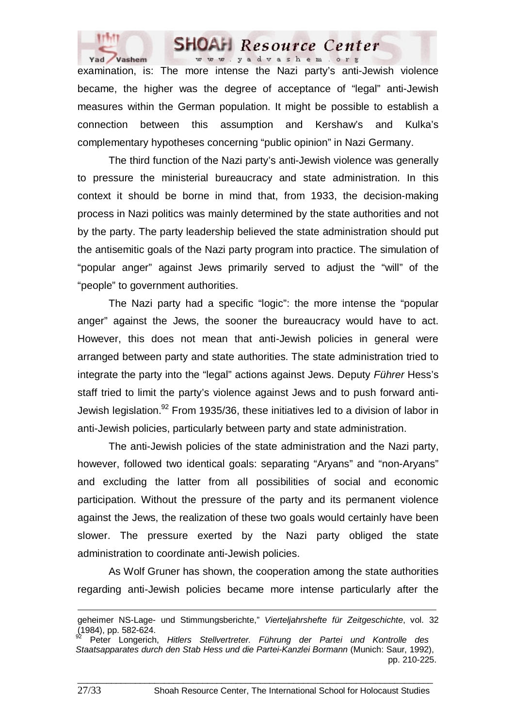

examination, is: The more intense the Nazi party's anti-Jewish violence became, the higher was the degree of acceptance of "legal" anti-Jewish measures within the German population. It might be possible to establish a connection between this assumption and Kershaw's and Kulka's complementary hypotheses concerning "public opinion" in Nazi Germany.

The third function of the Nazi party's anti-Jewish violence was generally to pressure the ministerial bureaucracy and state administration. In this context it should be borne in mind that, from 1933, the decision-making process in Nazi politics was mainly determined by the state authorities and not by the party. The party leadership believed the state administration should put the antisemitic goals of the Nazi party program into practice. The simulation of "popular anger" against Jews primarily served to adjust the "will" of the "people" to government authorities.

The Nazi party had a specific "logic": the more intense the "popular anger" against the Jews, the sooner the bureaucracy would have to act. However, this does not mean that anti-Jewish policies in general were arranged between party and state authorities. The state administration tried to integrate the party into the "legal" actions against Jews. Deputy *Führer* Hess's staff tried to limit the party's violence against Jews and to push forward anti-Jewish legislation.<sup>92</sup> From 1935/36, these initiatives led to a division of labor in anti-Jewish policies, particularly between party and state administration.

The anti-Jewish policies of the state administration and the Nazi party, however, followed two identical goals: separating "Aryans" and "non-Aryans" and excluding the latter from all possibilities of social and economic participation. Without the pressure of the party and its permanent violence against the Jews, the realization of these two goals would certainly have been slower. The pressure exerted by the Nazi party obliged the state administration to coordinate anti-Jewish policies.

As Wolf Gruner has shown, the cooperation among the state authorities regarding anti-Jewish policies became more intense particularly after the

 $\Box$ 

 $\overline{a}$ 

geheimer NS-Lage- und Stimmungsberichte," *Vierteljahrshefte für Zeitgeschichte*, vol. 32  $(1984)$ , pp. 582-624.

Peter Longerich, *Hitlers Stellvertreter. Führung der Partei und Kontrolle des Staatsapparates durch den Stab Hess und die Partei-Kanzlei Bormann* (Munich: Saur, 1992), pp. 210-225.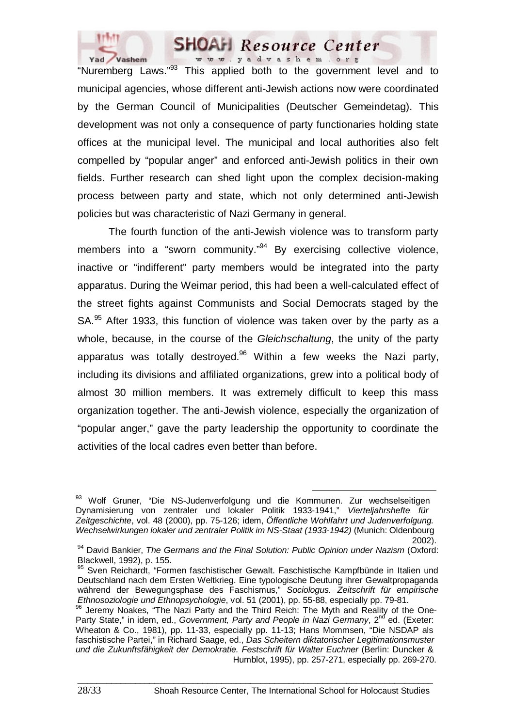

"Nuremberg Laws."93 This applied both to the government level and to municipal agencies, whose different anti-Jewish actions now were coordinated by the German Council of Municipalities (Deutscher Gemeindetag). This development was not only a consequence of party functionaries holding state offices at the municipal level. The municipal and local authorities also felt compelled by "popular anger" and enforced anti-Jewish politics in their own fields. Further research can shed light upon the complex decision-making process between party and state, which not only determined anti-Jewish policies but was characteristic of Nazi Germany in general.

The fourth function of the anti-Jewish violence was to transform party members into a "sworn community."<sup>94</sup> By exercising collective violence, inactive or "indifferent" party members would be integrated into the party apparatus. During the Weimar period, this had been a well-calculated effect of the street fights against Communists and Social Democrats staged by the SA.<sup>95</sup> After 1933, this function of violence was taken over by the party as a whole, because, in the course of the *Gleichschaltung*, the unity of the party apparatus was totally destroyed.<sup>96</sup> Within a few weeks the Nazi party, including its divisions and affiliated organizations, grew into a political body of almost 30 million members. It was extremely difficult to keep this mass organization together. The anti-Jewish violence, especially the organization of "popular anger," gave the party leadership the opportunity to coordinate the activities of the local cadres even better than before.

<sup>93</sup> Wolf Gruner, "Die NS-Judenverfolgung und die Kommunen. Zur wechselseitigen Dynamisierung von zentraler und lokaler Politik 1933-1941," *Vierteljahrshefte für Zeitgeschichte*, vol. 48 (2000), pp. 75-126; idem, *Öffentliche Wohlfahrt und Judenverfolgung. Wechselwirkungen lokaler und zentraler Politik im NS-Staat (1933-1942)* (Munich: Oldenbourg

<sup>2002).</sup> 94 David Bankier, *The Germans and the Final Solution: Public Opinion under Nazism* (Oxford: Blackwell, 1992), p. 155.

<sup>95</sup> Sven Reichardt, "Formen faschistischer Gewalt. Faschistische Kampfbünde in Italien und Deutschland nach dem Ersten Weltkrieg. Eine typologische Deutung ihrer Gewaltpropaganda während der Bewegungsphase des Faschismus," *Sociologus. Zeitschrift für empirische Ethnosoziologie und Ethnopsychologie*, vol. 51 (2001), pp. 55-88, especially pp. 79-81.

<sup>96</sup> Jeremy Noakes, "The Nazi Party and the Third Reich: The Myth and Reality of the One-Party State," in idem, ed., *Government, Party and People in Nazi Germany*, 2<sup>nd</sup> ed. (Exeter: Wheaton & Co., 1981), pp. 11-33, especially pp. 11-13; Hans Mommsen, "Die NSDAP als faschistische Partei," in Richard Saage, ed., *Das Scheitern diktatorischer Legitimationsmuster und die Zukunftsfähigkeit der Demokratie. Festschrift für Walter Euchner* (Berlin: Duncker & Humblot, 1995), pp. 257-271, especially pp. 269-270.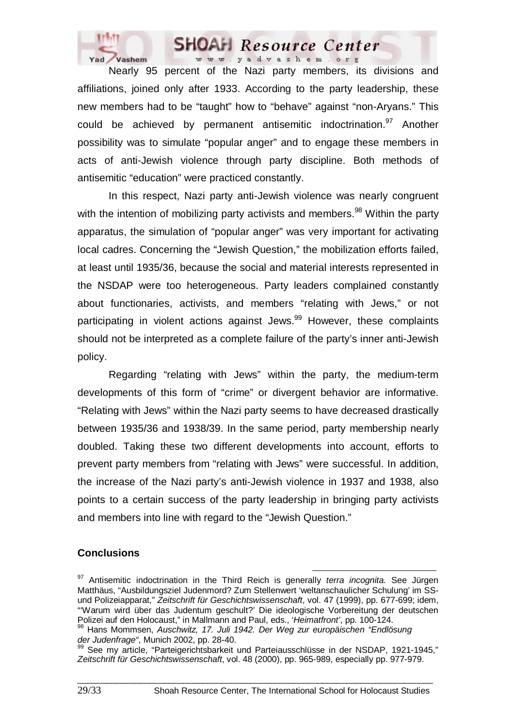

Nearly 95 percent of the Nazi party members, its divisions and affiliations, joined only after 1933. According to the party leadership, these new members had to be "taught" how to "behave" against "non-Aryans." This could be achieved by permanent antisemitic indoctrination.<sup>97</sup> Another possibility was to simulate "popular anger" and to engage these members in acts of anti-Jewish violence through party discipline. Both methods of antisemitic "education" were practiced constantly.

In this respect, Nazi party anti-Jewish violence was nearly congruent with the intention of mobilizing party activists and members.<sup>98</sup> Within the party apparatus, the simulation of "popular anger" was very important for activating local cadres. Concerning the "Jewish Question," the mobilization efforts failed, at least until 1935/36, because the social and material interests represented in the NSDAP were too heterogeneous. Party leaders complained constantly about functionaries, activists, and members "relating with Jews," or not participating in violent actions against Jews.<sup>99</sup> However, these complaints should not be interpreted as a complete failure of the party's inner anti-Jewish policy.

Regarding "relating with Jews" within the party, the medium-term developments of this form of "crime" or divergent behavior are informative. "Relating with Jews" within the Nazi party seems to have decreased drastically between 1935/36 and 1938/39. In the same period, party membership nearly doubled. Taking these two different developments into account, efforts to prevent party members from "relating with Jews" were successful. In addition, the increase of the Nazi party's anti-Jewish violence in 1937 and 1938, also points to a certain success of the party leadership in bringing party activists and members into line with regard to the "Jewish Question."

#### **Conclusions**

97 Antisemitic indoctrination in the Third Reich is generally *terra incognita.* See Jürgen Matthäus, "Ausbildungsziel Judenmord? Zum Stellenwert 'weltanschaulicher Schulung' im SSund Polizeiapparat," *Zeitschrift für Geschichtswissenschaft*, vol. 47 (1999), pp. 677-699; idem, "Warum wird über das Judentum geschult?' Die ideologische Vorbereitung der deutschen<br>Polizei auf den Holocaust," in Mallmann and Paul, eds., 'Heimatfront', pp. 100-124.

<sup>&</sup>lt;sup>98</sup> Hans Mommsen, Auschwitz, 17. Juli 1942. Der Weg zur europäischen "Endlösung *der Judenfrage"*, Munich 2002, pp. 28-40.

<sup>99</sup> See my article, "Parteigerichtsbarkeit und Parteiausschlüsse in der NSDAP, 1921-1945," *Zeitschrift für Geschichtswissenschaft*, vol. 48 (2000), pp. 965-989, especially pp. 977-979.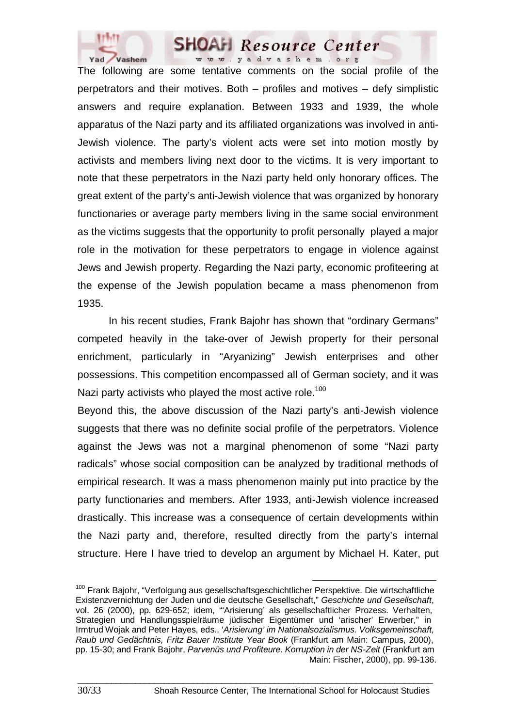

The following are some tentative comments on the social profile of the perpetrators and their motives. Both – profiles and motives – defy simplistic answers and require explanation. Between 1933 and 1939, the whole apparatus of the Nazi party and its affiliated organizations was involved in anti-Jewish violence. The party's violent acts were set into motion mostly by activists and members living next door to the victims. It is very important to note that these perpetrators in the Nazi party held only honorary offices. The great extent of the party's anti-Jewish violence that was organized by honorary functionaries or average party members living in the same social environment as the victims suggests that the opportunity to profit personally played a major role in the motivation for these perpetrators to engage in violence against Jews and Jewish property. Regarding the Nazi party, economic profiteering at the expense of the Jewish population became a mass phenomenon from 1935.

In his recent studies, Frank Bajohr has shown that "ordinary Germans" competed heavily in the take-over of Jewish property for their personal enrichment, particularly in "Aryanizing" Jewish enterprises and other possessions. This competition encompassed all of German society, and it was Nazi party activists who played the most active role.<sup>100</sup>

Beyond this, the above discussion of the Nazi party's anti-Jewish violence suggests that there was no definite social profile of the perpetrators. Violence against the Jews was not a marginal phenomenon of some "Nazi party radicals" whose social composition can be analyzed by traditional methods of empirical research. It was a mass phenomenon mainly put into practice by the party functionaries and members. After 1933, anti-Jewish violence increased drastically. This increase was a consequence of certain developments within the Nazi party and, therefore, resulted directly from the party's internal structure. Here I have tried to develop an argument by Michael H. Kater, put

 $100$  Frank Bajohr, "Verfolgung aus gesellschaftsgeschichtlicher Perspektive. Die wirtschaftliche Existenzvernichtung der Juden und die deutsche Gesellschaft," *Geschichte und Gesellschaft*, vol. 26 (2000), pp. 629-652; idem, "'Arisierung' als gesellschaftlicher Prozess. Verhalten, Strategien und Handlungsspielräume jüdischer Eigentümer und 'arischer' Erwerber," in Irmtrud Wojak and Peter Hayes, eds., '*Arisierung' im Nationalsozialismus. Volksgemeinschaft, Raub und Gedächtnis, Fritz Bauer Institute Year Book* (Frankfurt am Main: Campus, 2000), pp. 15-30; and Frank Bajohr, *Parvenüs und Profiteure. Korruption in der NS-Zeit* (Frankfurt am Main: Fischer, 2000), pp. 99-136.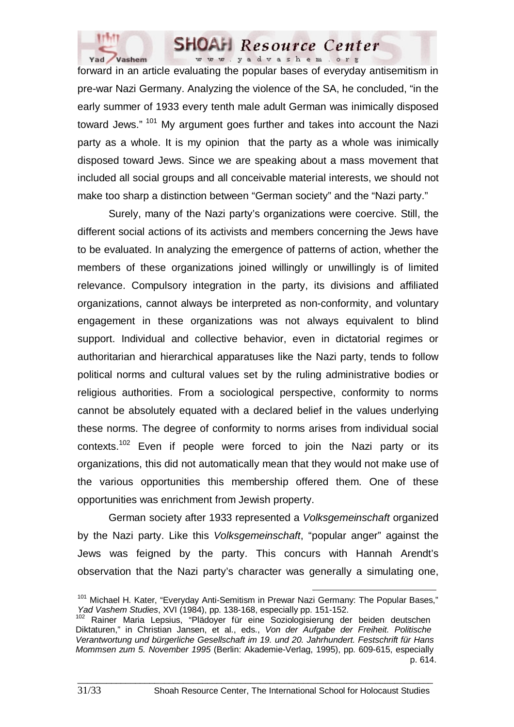

forward in an article evaluating the popular bases of everyday antisemitism in pre-war Nazi Germany. Analyzing the violence of the SA, he concluded, "in the early summer of 1933 every tenth male adult German was inimically disposed toward Jews."<sup>101</sup> My argument goes further and takes into account the Nazi party as a whole. It is my opinion that the party as a whole was inimically disposed toward Jews. Since we are speaking about a mass movement that included all social groups and all conceivable material interests, we should not make too sharp a distinction between "German society" and the "Nazi party."

Surely, many of the Nazi party's organizations were coercive. Still, the different social actions of its activists and members concerning the Jews have to be evaluated. In analyzing the emergence of patterns of action, whether the members of these organizations joined willingly or unwillingly is of limited relevance. Compulsory integration in the party, its divisions and affiliated organizations, cannot always be interpreted as non-conformity, and voluntary engagement in these organizations was not always equivalent to blind support. Individual and collective behavior, even in dictatorial regimes or authoritarian and hierarchical apparatuses like the Nazi party, tends to follow political norms and cultural values set by the ruling administrative bodies or religious authorities. From a sociological perspective, conformity to norms cannot be absolutely equated with a declared belief in the values underlying these norms. The degree of conformity to norms arises from individual social contexts.<sup>102</sup> Even if people were forced to join the Nazi party or its organizations, this did not automatically mean that they would not make use of the various opportunities this membership offered them. One of these opportunities was enrichment from Jewish property.

German society after 1933 represented a *Volksgemeinschaft* organized by the Nazi party. Like this *Volksgemeinschaft*, "popular anger" against the Jews was feigned by the party. This concurs with Hannah Arendt's observation that the Nazi party's character was generally a simulating one,

<sup>&</sup>lt;sup>101</sup> Michael H. Kater, "Everyday Anti-Semitism in Prewar Nazi Germany: The Popular Bases," *Yad Vashem Studies*, XVI (1984), pp. 138-168, especially pp. 151-152.

<sup>&</sup>lt;sup>102</sup> Rainer Maria Lepsius, "Plädoyer für eine Soziologisierung der beiden deutschen Diktaturen," in Christian Jansen, et al., eds., *Von der Aufgabe der Freiheit. Politische Verantwortung und bürgerliche Gesellschaft im 19. und 20. Jahrhundert. Festschrift für Hans Mommsen zum 5. November 1995* (Berlin: Akademie-Verlag, 1995), pp. 609-615, especially p. 614.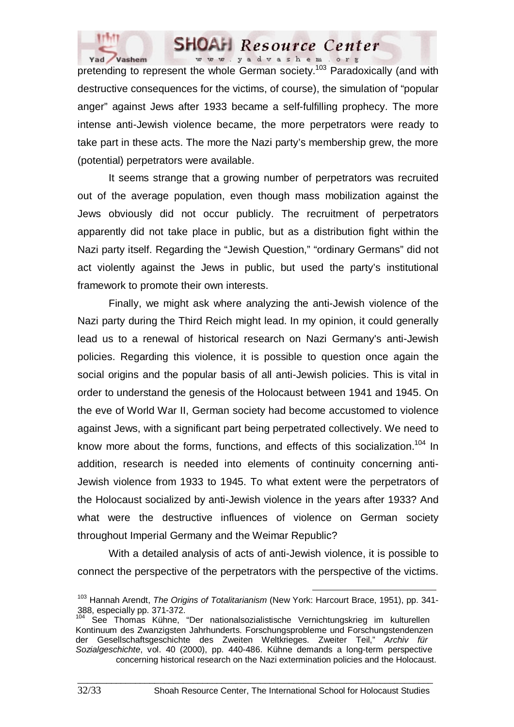

# **SHOAH** Resource Center

**Pretending to represent the whole German society.**<sup>103</sup> Paradoxically (and with pretending to represent the whole German society.<sup>103</sup> Paradoxically (and with destructive consequences for the victims, of course), the simulation of "popular anger" against Jews after 1933 became a self-fulfilling prophecy. The more intense anti-Jewish violence became, the more perpetrators were ready to take part in these acts. The more the Nazi party's membership grew, the more (potential) perpetrators were available.

It seems strange that a growing number of perpetrators was recruited out of the average population, even though mass mobilization against the Jews obviously did not occur publicly. The recruitment of perpetrators apparently did not take place in public, but as a distribution fight within the Nazi party itself. Regarding the "Jewish Question," "ordinary Germans" did not act violently against the Jews in public, but used the party's institutional framework to promote their own interests.

Finally, we might ask where analyzing the anti-Jewish violence of the Nazi party during the Third Reich might lead. In my opinion, it could generally lead us to a renewal of historical research on Nazi Germany's anti-Jewish policies. Regarding this violence, it is possible to question once again the social origins and the popular basis of all anti-Jewish policies. This is vital in order to understand the genesis of the Holocaust between 1941 and 1945. On the eve of World War II, German society had become accustomed to violence against Jews, with a significant part being perpetrated collectively. We need to know more about the forms, functions, and effects of this socialization.<sup>104</sup> In addition, research is needed into elements of continuity concerning anti-Jewish violence from 1933 to 1945. To what extent were the perpetrators of the Holocaust socialized by anti-Jewish violence in the years after 1933? And what were the destructive influences of violence on German society throughout Imperial Germany and the Weimar Republic?

With a detailed analysis of acts of anti-Jewish violence, it is possible to connect the perspective of the perpetrators with the perspective of the victims.

103 Hannah Arendt, *The Origins of Totalitarianism* (New York: Harcourt Brace, 1951), pp. 341- 388, especially pp. 371-372.

<sup>&</sup>lt;sup>104</sup> See Thomas Kühne, "Der nationalsozialistische Vernichtungskrieg im kulturellen Kontinuum des Zwanzigsten Jahrhunderts. Forschungsprobleme und Forschungstendenzen der Gesellschaftsgeschichte des Zweiten Weltkrieges. Zweiter Teil," *Archiv für Sozialgeschichte*, vol. 40 (2000), pp. 440-486. Kühne demands a long-term perspective concerning historical research on the Nazi extermination policies and the Holocaust.